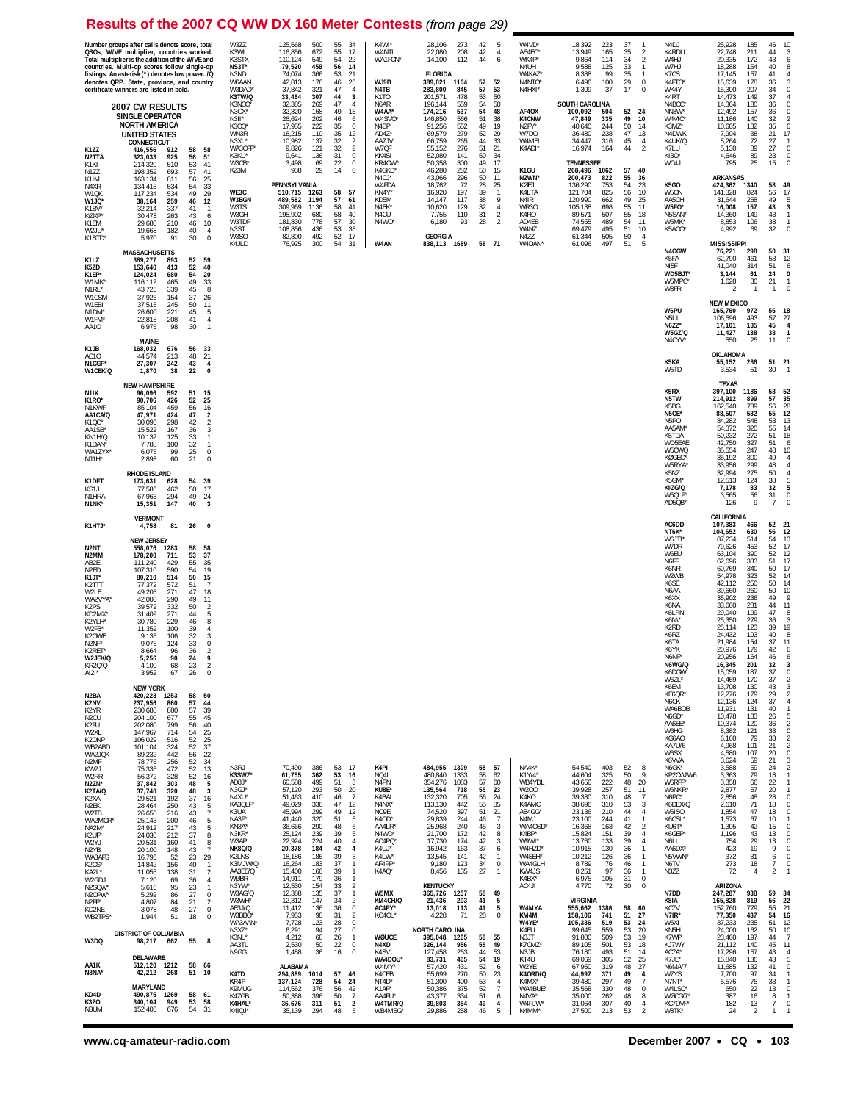## **Results of the 2007 CQ WW DX 160 Meter Contests** (from page 29)

| N2FF*<br>KD2NE<br>WB2TPS*<br><b>DISTRICT OF COLUMBIA</b><br>W3DQ                              | N <sub>2</sub> BA<br>K2NV<br>K <sub>2</sub> YR<br>N <sub>2</sub> CU<br>K2FU<br>W2XL<br>K20NP<br>WB2ABD<br>WA2JQK<br>N <sub>2</sub> MF<br>KW2J<br>W2RR<br>N2ZN*<br>K2TA/Q<br>K2XA<br>N <sub>2</sub> EK<br>W <sub>2</sub> TB<br>WA2MCR*<br>NA2M*<br>K2LIF<br>W2YJ<br>N2YB<br>WA3AFS<br>K <sub>2</sub> CS*<br>KA2L*<br>W2GDJ<br>N2SQW*<br>N2OPW*   | K1HTJ*<br>N <sub>2</sub> NT<br>N2MM<br>AB2E<br>N <sub>2ED</sub><br>K1JT*<br>K <sub>2</sub> TTT<br>W2LE<br>WA2VYA<br>K <sub>2</sub> PS<br>KD2MX<br>K2YLH*<br>W2FB*<br>K20WE<br>N2NF*<br>K2RET*<br>W2JEK/Q<br><b>KR20/0</b><br>$Al2I*$                                            | K1DFT<br>KS1J<br>N1HRA<br>N1NK*                                         | N <sub>1</sub> X<br>K1RO*<br>N1KWF<br>AA1CA/Q<br>K100*<br>AA1SB*<br>KN1H/Q<br>K1DAN'<br>WA1ZYX'<br>NJ1H*                                                                    | AA10<br>K1JB<br>AC10<br>N1CGP*<br>W1CEK/Q                          | K5ZD<br>K1EP*<br>W1MK <sup>®</sup><br>N1RL*<br>W1CSM<br>W1EBI<br>N1DM <sup>*</sup><br>W1FM*            | K1IM<br>N4XR<br>W1QK<br>W1JQ*<br>K1BV*<br>KØXP <sup>®</sup><br>K1EM<br>W2JU*<br>K1BTD'<br>K1LZ                                                     | Number groups after calls denote score, total<br>QSOs, W/VE multiplier, countries worked.<br>Total multiplier is the addition of the W/VE and<br>countries. Multi-op scores follow single-op<br>listings. An asterisk (*) denotes low power. /Q<br>denotes QRP. State, province, and country<br>certificate winners are listed in bold.<br>K1ZZ<br>N2TTA<br>K <sub>1</sub> KI<br>N1ZZ |
|-----------------------------------------------------------------------------------------------|-------------------------------------------------------------------------------------------------------------------------------------------------------------------------------------------------------------------------------------------------------------------------------------------------------------------------------------------------|---------------------------------------------------------------------------------------------------------------------------------------------------------------------------------------------------------------------------------------------------------------------------------|-------------------------------------------------------------------------|-----------------------------------------------------------------------------------------------------------------------------------------------------------------------------|--------------------------------------------------------------------|--------------------------------------------------------------------------------------------------------|----------------------------------------------------------------------------------------------------------------------------------------------------|---------------------------------------------------------------------------------------------------------------------------------------------------------------------------------------------------------------------------------------------------------------------------------------------------------------------------------------------------------------------------------------|
| 11,055<br>7,120<br>5,616<br>5,292<br>4,807                                                    | <b>NEW YORK</b><br>420,228<br>237,956<br>230.688<br>204,100<br>202,080<br>147,967<br>106,029<br>101,104<br>89,232<br>78,776<br>75,335<br>56,372<br>37,842<br>37,740<br>29,521<br>28,464<br>26,650<br>25,143<br>24,912<br>24,030<br>20,531<br>20,100<br>16,796<br>14,842                                                                         | 4,758<br><b>NEW JERSEY</b><br>558,076 1283<br>178,200<br>111,240<br>107,310<br>80,210<br>77,372<br>49,205<br>42,000<br>39,572<br>31,409<br>30,780<br>11,352<br>9,135<br>9.075<br>8,664<br>5.256<br>4,100<br>3,952                                                               | RHODE ISLAND<br>173,631<br>77.586<br>67,963<br>15,351<br><b>VERMONT</b> | <b>NEW HAMPSHIRE</b><br>96,096<br>90,706<br>85.104<br>47,971<br>30,096<br>15,522<br>10,132<br>7,788<br>6,075<br>2,898                                                       | 6,975<br>MAINE<br>168,032<br>44,574<br>27,307<br>1,870             | 153,640<br>124,024<br>116,112<br>43,725<br>37,926<br>37,515<br>26,600<br>22,815                        | 163,134<br>134,415<br>117,234<br>38,164<br>32,214<br>30.478<br>29,680<br>19,668<br>5,970<br><b>MASSACHUSETTS</b><br>389,277                        | <b>2007 CW RESULTS</b><br>SINGLE OPERATOR<br><b>NORTH AMERICA</b><br><b>UNITED STATES</b><br>CONNECTICUT<br>416,556<br>323,033<br>214,320<br>198,352                                                                                                                                                                                                                                  |
| 138<br>69<br>95<br>86<br>84                                                                   | 1253<br>860<br>800<br>677<br>799<br>714<br>516<br>324<br>442<br>256<br>472<br>328<br>303<br>320<br>192<br>250<br>216<br>200<br>217<br>212<br>160<br>148<br>52<br>156                                                                                                                                                                            | 81<br>711<br>429<br>590<br>514<br>572<br>271<br>290<br>332<br>271<br>229<br>100<br>106<br>124<br>96<br>90<br>68<br>67                                                                                                                                                           | 628<br>462<br>294<br>147                                                | 592<br>426<br>459<br>424<br>298<br>167<br>125<br>100<br>99<br>60                                                                                                            | 98<br>676<br>213<br>242<br>38                                      | 413<br>680<br>465<br>339<br>154<br>245<br>221<br>208                                                   | 811<br>534<br>534<br>259<br>337<br>263<br>210<br>182<br>91<br>893                                                                                  | 912<br>925<br>510<br>693                                                                                                                                                                                                                                                                                                                                                              |
| 31<br>36<br>$\overline{4}$<br>23<br>$\mathbf{1}$<br>27<br>$\mathbf 0$<br>21<br>$\overline{2}$ | 58<br>50<br>57<br>44<br>57<br>39<br>55<br>45<br>40<br>56<br>54<br>25<br>52<br>25<br>52<br>37<br>22<br>56<br>52<br>34<br>52<br>13<br>52<br>16<br>48<br>5<br>48<br>$\overline{\mathbf{3}}$<br>37<br>16<br>43<br>5<br>43<br>$\overline{7}$<br>46<br>5<br>43<br>5<br>37<br>8<br>41<br>8<br>43<br>$\overline{7}$<br>23<br>29<br>40<br>$\overline{1}$ | 26<br>0<br>58<br>58<br>53<br>37<br>55<br>35<br>54<br>19<br>50<br>15<br>51<br>$\overline{7}$<br>47<br>18<br>49<br>11<br>50<br>$\overline{2}$<br>5<br>44<br>46<br>8<br>39<br>$\overline{4}$<br>32<br>3<br>33<br>$\bf 0$<br>36<br>2<br>24<br>23<br>$\overline{2}$<br>$\bf 0$<br>26 | 54<br>39<br>50<br>17<br>49<br>24<br>40<br>$\overline{\mathbf{3}}$       | 51<br>15<br>52<br>25<br>56<br>16<br>47<br>$\overline{2}$<br>$\sqrt{2}$<br>42<br>36<br>3<br>33<br>$\mathbf{1}$<br>32<br>$\overline{1}$<br>25<br>$\bf 0$<br>21<br>$\mathbf 0$ | 30<br>$\overline{1}$<br>56<br>33<br>48<br>21<br>43<br>4<br>22<br>0 | 40<br>52<br>54<br>20<br>49<br>33<br>45<br>8<br>37<br>26<br>50<br>11<br>45<br>5<br>41<br>$\overline{4}$ | 56<br>25<br>54<br>33<br>49<br>29<br>$12\,$<br>46<br>41<br>$\mathbf{1}$<br>43<br>6<br>46<br>10<br>40<br>$\overline{4}$<br>30<br>$\bf 0$<br>52<br>59 | 58<br>58<br>51<br>56<br>53<br>41<br>57<br>41                                                                                                                                                                                                                                                                                                                                          |
| AA3FF/O<br>$\overline{2}$<br>WØBR<br>N3YW*<br>W3AG/Q<br>W3WH <sup>*</sup>                     | N3RJ<br>K3SWZ*<br>AD8J*<br>N3GJ*<br>N4XU*<br>KA3OLF<br>K3UA<br>NA3F'<br>KN3A <sup>®</sup><br>N3KR*<br>W3AP<br><b>NK8Q/Q</b><br>K2I NS<br>K3MJW/Q                                                                                                                                                                                                |                                                                                                                                                                                                                                                                                 |                                                                         |                                                                                                                                                                             |                                                                    |                                                                                                        | WE3C<br>W3BGN<br>W3TS<br>W3GH<br>W3TDF<br>N3ST<br>W3SO<br>K4JLD                                                                                    | W3ZZ<br>K3WI<br>K3STX<br>NS3T*<br>N3ND<br>W6AAN<br>W3DAD'<br>K3TW/Q<br>K3NCO <sup>®</sup><br>N30X*<br>N3II*<br>K300*<br>WN3R<br>N3XL*<br>WA3OFF*<br>K3KU*<br>W3CB <sup>®</sup><br>KZ3M                                                                                                                                                                                                |
| 14,911<br>12,530<br>12,388<br>12,312                                                          | 70,490<br>61,755<br>60,588<br>57,120<br>51,463<br>49,029<br>45,994<br>41,440<br>36,666<br>25,124<br>22,924<br>20,378<br>18.186<br>16,264<br>15.400                                                                                                                                                                                              |                                                                                                                                                                                                                                                                                 |                                                                         |                                                                                                                                                                             |                                                                    |                                                                                                        | PENNSYLVANIA<br>510,715<br>489,582<br>309,969<br>195,902<br>181,830<br>108,856<br>82,800<br>76,925                                                 | 125,668<br>116,856<br>110,124<br>79,520<br>74,074<br>42,813<br>37,842<br>33,464<br>32,385<br>32,320<br>26,624<br>17,955<br>16,215<br>10,982<br>9,826<br>9,641<br>3,498<br>938                                                                                                                                                                                                         |
| 179<br>154<br>135<br>147                                                                      | 386<br>362<br>499<br>293<br>410<br>336<br>299<br>320<br>290<br>239<br>224<br>184<br>186<br>183<br>166                                                                                                                                                                                                                                           |                                                                                                                                                                                                                                                                                 |                                                                         |                                                                                                                                                                             |                                                                    |                                                                                                        | 1263<br>1194<br>1136<br>680<br>778<br>436<br>492<br>300                                                                                            | 500<br>672<br>549<br>458<br>366<br>176<br>321<br>307<br>269<br>168<br>202<br>222<br>110<br>137<br>121<br>136<br>69<br>29                                                                                                                                                                                                                                                              |
| 33<br>37<br>34                                                                                | 53<br>53<br>51<br>50<br>46<br>47<br>49<br>51<br>48<br>39<br>40<br>42<br>39<br>37<br>39<br>36                                                                                                                                                                                                                                                    |                                                                                                                                                                                                                                                                                 |                                                                         |                                                                                                                                                                             |                                                                    |                                                                                                        | 58<br>57<br>58<br>58<br>57<br>53<br>52<br>54                                                                                                       | 55<br>55<br>54<br>56<br>53<br>46<br>47<br>44<br>47<br>49<br>46<br>35<br>35<br>32<br>32<br>31<br>22<br>14                                                                                                                                                                                                                                                                              |
| $\overline{2}$<br>$\mathbf{1}$<br>$\overline{2}$                                              | 17<br>16<br>$\mathbf{3}$<br>20<br>$\overline{7}$<br>12<br>12<br>5<br>6<br>5<br>$\overline{4}$<br>4<br>3<br>$\mathbf{1}$<br>$\overline{1}$<br>$\overline{1}$                                                                                                                                                                                     |                                                                                                                                                                                                                                                                                 |                                                                         |                                                                                                                                                                             |                                                                    |                                                                                                        | 57<br>61<br>41<br>40<br>30<br>35<br>17<br>31                                                                                                       | -34<br>17<br>22<br>14<br>21<br>25<br>$\overline{4}$<br>$\overline{\mathbf{3}}$<br>4<br>15<br>6<br>$\mathbb O$<br>12<br>$\frac{2}{2}$<br>$\mathbb O$<br>$\mathbf 0$<br>$\mathbf 0$                                                                                                                                                                                                     |
| W5MX<br>KM4CH/Q                                                                               | K4PI<br>NQ41<br>N4PN<br>KU8E <sup>®</sup><br>K4BAI<br>N4NX <sup>*</sup><br>NO9E<br>K4OD*<br>AA4LR'<br>N4WD*<br>AC4PQ'<br>K4UJ*<br>K4LW*<br>AF4PP*<br>K4AQ*                                                                                                                                                                                      |                                                                                                                                                                                                                                                                                 |                                                                         |                                                                                                                                                                             |                                                                    |                                                                                                        | N4CJ*<br>W4FDA<br>KN4Y*<br>KD5M<br>N4EK*<br>N4CU<br>N4WO*<br>W4AN                                                                                  | K4WI*<br>W4NTI<br>WA1FCN*<br>WJ9B<br>N4TB<br>K <sub>1</sub> TO<br>N6AR<br>W4AA*<br>W4SVO*<br>N4BP<br>AD4Z*<br>AA7JV<br>W7QF<br>KK4SI<br>KR40W*<br>K4GKD*                                                                                                                                                                                                                              |
| <b>KENTUCKY</b><br>365,726 1257<br>21,436                                                     | 484,955<br>1309<br>480,840<br>1333<br>354,276<br>1083<br>135,564<br>132,320<br>113,130<br>74,520<br>29,839<br>25,968<br>21,700<br>17,730<br>16,942<br>13,545<br>9,180<br>8,456                                                                                                                                                                  |                                                                                                                                                                                                                                                                                 |                                                                         |                                                                                                                                                                             |                                                                    |                                                                                                        | 43,066<br>18,762<br>16,920<br>14,147<br>10,620<br>7,755<br>6,180<br><b>GEORGIA</b><br>838,113 1689                                                 | 28,106<br>22,080<br>14,100<br><b>FLORIDA</b><br>389,021 1164<br>283,800<br>201,571<br>196,144<br>174,216<br>146,850<br>91,256<br>69,579<br>66,759<br>55,152<br>52,080<br>50,358<br>46,280                                                                                                                                                                                             |
| 41<br>203                                                                                     | 58<br>57<br>718<br>705<br>442<br>397<br>244<br>240<br>172<br>174<br>42<br>163<br>37<br>141<br>123<br>34<br>27<br>135                                                                                                                                                                                                                            |                                                                                                                                                                                                                                                                                 |                                                                         |                                                                                                                                                                             |                                                                    |                                                                                                        | 296<br>50<br>72<br>28<br>197<br>39<br>117<br>129<br>32<br>110<br>31<br>93                                                                          | 273<br>42<br>42<br>208<br>112<br>845<br>57<br>478<br>53<br>559<br>54<br>537<br>54<br>566<br>51<br>552<br>279<br>52<br>$44\,$<br>265<br>51<br>276<br>141<br>300<br>282<br>50                                                                                                                                                                                                           |
| 58<br>49<br>- 5                                                                               | 58<br>57<br>62<br>60<br>55<br>23<br>56<br>24<br>55<br>35<br>51<br>21<br>46<br>7<br>45<br>3<br>42<br>8<br>3<br>6<br>42<br>$\mathbf{1}$<br>$\mathbf 0$<br>$\mathbf{1}$                                                                                                                                                                            |                                                                                                                                                                                                                                                                                 |                                                                         |                                                                                                                                                                             |                                                                    |                                                                                                        | 11<br>25<br>$\overline{1}$<br>38<br>9<br>$\overline{4}$<br>$\overline{2}$<br>$\overline{2}$<br>28<br>58<br>71                                      | - 5<br>$\overline{4}$<br>44<br>6<br>57<br>52<br>53<br>50<br>50<br>48<br>38<br>49<br>19<br>29<br>33<br>21<br>50<br>34<br>49<br>17<br>15                                                                                                                                                                                                                                                |
| AC4JI                                                                                         | NA4K*<br>K1Y/4*<br>WB4YDL<br>W200<br>K4KO<br>K4AMC<br>AB4GG<br>N4MJ<br>WA40SD'<br>K4BP*<br>W9WI*<br>W4HZD*<br>W4EEH*<br>WA4GLH<br>KW4JS<br>K4BX*                                                                                                                                                                                                |                                                                                                                                                                                                                                                                                 |                                                                         |                                                                                                                                                                             |                                                                    |                                                                                                        | N <sub>2</sub> WN<br>KØEJ<br>K4LTA<br>N4IR<br>WR30<br>K4RO<br>AD4EB<br>W4NZ<br>N4ZZ<br>W4DAN*                                                      | W4VD*<br>AE4EC*<br>WK4P*<br>N <sub>4</sub> UH<br>W4KAZ'<br>N4NTO<br>N4HXI*<br>AF40X<br>K4CNW<br>N2FY*<br>W7DO<br>W4MEL<br>K4ADI'<br>K1GU                                                                                                                                                                                                                                              |
| 4,770<br><b>VIRGINIA</b>                                                                      | 54,540<br>44,604<br>43,656<br>39,928<br>39,380<br>38,696<br>23,136<br>23,100<br>16,368<br>15,824<br>13,760<br>10,915<br>10,212<br>8,789<br>8,251<br>6,975                                                                                                                                                                                       |                                                                                                                                                                                                                                                                                 |                                                                         |                                                                                                                                                                             |                                                                    |                                                                                                        | 200,473<br>136,290<br>121,704<br>120,990<br>105,138<br>89,571<br>74,555<br>69,479<br>61,344<br>61,096                                              | 18,392<br>13,949<br>9,864<br>9,588<br>8,388<br>6,496<br>1,309<br>SOUTH CAROLINA<br>100,092<br>47,849<br>40,640<br>36,480<br>34,447<br>16,974<br><b>TENNESSEE</b><br>268,496                                                                                                                                                                                                           |
|                                                                                               | 403<br>325<br>222<br>257<br>310<br>310<br>210<br>244<br>163<br>151<br>133<br>130<br>126<br>76<br>97<br>105<br>72                                                                                                                                                                                                                                |                                                                                                                                                                                                                                                                                 |                                                                         |                                                                                                                                                                             |                                                                    |                                                                                                        | 822<br>753<br>825<br>662<br>698<br>507<br>489<br>495<br>505<br>497                                                                                 | 223<br>165<br>114<br>125<br>99<br>100<br>37<br>504<br>335<br>244<br>238<br>316<br>164<br>1062                                                                                                                                                                                                                                                                                         |
| 30                                                                                            | 52<br>50<br>48<br>-51<br>48<br>53<br>44<br>41<br>42<br>39<br>39<br>36<br>-36<br>46<br>36<br>31                                                                                                                                                                                                                                                  |                                                                                                                                                                                                                                                                                 |                                                                         |                                                                                                                                                                             |                                                                    |                                                                                                        | 55<br>54<br>56<br>49<br>55<br>55<br>54<br>51<br>50<br>51                                                                                           | 37<br>35<br>34<br>33<br>35<br>29<br>17<br>52<br>49<br>50<br>47<br>45<br>44<br>57                                                                                                                                                                                                                                                                                                      |
| $\mathbf 0$                                                                                   | 8<br>9<br>20<br>11<br>$\overline{7}$<br>3<br>$\overline{4}$<br>$\mathbf{1}$<br>$\overline{2}$<br>4<br>$\overline{4}$<br>$\mathbf{1}$<br>$\mathbf{1}$<br>1<br>$\mathbf{1}$<br>$\mathbf 0$                                                                                                                                                        |                                                                                                                                                                                                                                                                                 |                                                                         |                                                                                                                                                                             |                                                                    |                                                                                                        | 36<br>23<br>10<br>25<br>11<br>18<br>11<br>10<br>$\overline{4}$<br>5                                                                                | $\mathbf{1}$<br>$\overline{2}$<br>$\overline{2}$<br>$\mathbf{1}$<br>$\mathbf{1}$<br>$\mathbf 0$<br>$\mathbf 0$<br>24<br>10<br>14<br>13<br>$\overline{4}$<br>$\overline{2}$<br>40                                                                                                                                                                                                      |
| N7DD<br>K8IA                                                                                  | K6EM<br>KE6QR'<br>N6CK<br>WA6BOB<br>N6GD*<br>AA6EE*<br>W6HG<br>KG6AO<br><b>KA7U/6</b><br>W6SX<br><b>K6VVA</b><br>N6GK*<br>KP2CW/W6<br>W6RFF*<br>W6NKR<br>N6PC*<br>K6DEX/Q<br>W6ISO<br>K6CSL'<br>KU6T*<br>K6GEP*<br>N6LL<br>AA6DX*<br>N5VWN<br>N6TV<br>N3ZZ                                                                                      | AC6DD<br>NT6K*<br>W6JTI'<br>W7DR<br>W6EU<br>N6FF<br>K6NR<br>W2WB<br>K6SE<br>N6AA<br>K6XX<br>K6NA<br>K6LRN<br>K6NV<br>K2RD<br><b>K6R7</b><br>K6TA<br>K6YK<br>N6NF'<br>N6WG/Q<br>K6DGW<br>W6ZL*                                                                                   | K5GM'<br>KIØG/Q<br>W5QLF'<br>AD5QB*                                     | K5RX<br>N5TW<br>K5BG<br>N5OF'<br>N5PO<br>AA5AM*<br>K5TDA<br><b>WD5EAE</b><br>W5CWQ<br>KØGEO*<br>W5RYA*<br>K5NZ                                                              | W5GZ/Q<br>N4CYV*<br>K5KA<br>W5TD                                   | NI5F<br>WD5BJT*<br>W5MPC*<br>W8FR<br>W6PU<br>N5UL<br>N6ZZ*                                             | K5GO<br>W5ON<br>AA5CH<br>W5FO*<br>N5SAN*<br>W5MK*<br>K5ACO*<br>N4OGW<br>K5FA                                                                       | N <sub>4</sub> DJ<br>K4RDU<br>W4HJ<br>W7HJ<br>K7CS<br>K4FTO*<br>WK4Y<br>K4RT<br>N4BCC<br>NN3W*<br>W4VIC*<br>K3MZ*<br>N4DWK<br>K4UK/Q<br>K7LU<br>KI30'<br>WC4J                                                                                                                                                                                                                         |
| <b>ARIZONA</b><br>247,287<br>165,828                                                          | 13,708<br>12,276<br>12,136<br>11.931<br>10,478<br>10,374<br>8,382<br>6,160<br>4,968<br>4,580<br>3,624<br>3,588<br>3,363<br>3,358<br>2,877<br>2,856<br>2,610<br>1,854<br>1,573<br>1,305<br>1,196<br>754<br>423<br>372<br>273<br>72                                                                                                               | 107,383<br>104,652<br>87,234<br>79,626<br>63.104<br>62,696<br>60,769<br>54,978<br>42,112<br>39,660<br>35,902<br>33,660<br>29,040<br>25,350<br>25,114<br>24.432<br>21,984<br>20,976<br>20,956<br>16,345<br>15,059<br>14,469                                                      | 12,513<br>7,178<br>3,565<br>126<br>CALIFORNIA                           | <b>TEXAS</b><br>397,100<br>214,912<br>162,540<br>88,507<br>84,282<br>54.372<br>50,232<br>42,750<br>35,554<br>35,192<br>33,956<br>32,994                                     | 11,427<br>550<br>OKLAHOMA<br>55,152<br>3,534                       | 41,040<br>3,144<br>1,628<br>$\overline{2}$<br><b>NEW MEXICO</b><br>165,760<br>106.596<br>17,101        | <b>ARKANSAS</b><br>424,362<br>141,328<br>31,644<br>16,008<br>14,360<br>8,853<br>4,992<br><b>MISSISSIPPI</b><br>76,221<br>62,790                    | 25,928<br>22,748<br>20,335<br>18,288<br>17,145<br>15,639<br>15,300<br>14,473<br>14,364<br>12,492<br>11,186<br>10,605<br>7,904<br>5,264<br>5,130<br>4,646<br>795                                                                                                                                                                                                                       |
| 938<br>819                                                                                    | 130<br>179<br>124<br>131<br>133<br>120<br>121<br>79<br>101<br>107<br>59<br>59<br>79<br>66<br>57<br>48<br>71<br>47<br>67<br>42<br>43<br>29<br>19<br>31<br>18<br>$\overline{4}$                                                                                                                                                                   | 466<br>630<br>514<br>453<br>390<br>333<br>340<br>323<br>250<br>260<br>236<br>231<br>199<br>279<br>123<br>193<br>154<br>179<br>164<br>201<br>187<br>170                                                                                                                          | 124<br>83<br>56<br>9                                                    | 1186<br>899<br>739<br>582<br>548<br>320<br>272<br>327<br>247<br>300<br>299<br>275                                                                                           | 138<br>25<br>286<br>51                                             | 314<br>61<br>30<br>$\mathbf{1}$<br>972<br>493<br>135                                                   | 1340<br>824<br>258<br>157<br>149<br>106<br>69<br>298<br>461                                                                                        | 185<br>211<br>172<br>154<br>157<br>178<br>207<br>149<br>180<br>157<br>140<br>132<br>38<br>72<br>89<br>89<br>25                                                                                                                                                                                                                                                                        |
| 59<br>56                                                                                      | 43<br>29<br>37<br>40<br>26<br>36<br>33<br>33<br>21<br>20<br>21<br>24<br>18<br>22<br>20<br>28<br>18<br>18<br>10<br>15<br>13<br>13<br>9<br>6<br>$\overline{7}$<br>$\mathfrak{D}$                                                                                                                                                                  | 52<br>56<br>54<br>52<br>52<br>51<br>50<br>52<br>50<br>50<br>49<br>44<br>47<br>36<br>39<br>40<br>37<br>42<br>46<br>32<br>37<br>37                                                                                                                                                | 38<br>32<br>31<br>$\overline{7}$                                        | 58<br>57<br>56<br>55<br>53<br>55<br>51<br>51<br>48<br>49<br>48<br>50                                                                                                        | 38<br>11<br>51 21<br>30                                            | 51<br>24<br>21<br>$\mathbf{1}$<br>56<br>57<br>45                                                       | 58<br>56<br>49<br>43<br>43<br>38<br>32<br>50<br>53                                                                                                 | 46<br>44<br>43<br>40<br>41<br>36<br>34<br>37<br>36<br>36<br>32<br>35<br>$\frac{21}{27}$<br>27<br>23<br>15                                                                                                                                                                                                                                                                             |
| 34<br>22                                                                                      | 2<br>5<br>$\mathcal{P}$<br>$\Omega$<br>$\Omega$<br>3<br>$\mathbf{1}$<br>$\mathbf{1}$<br>$\mathbf{1}$<br>$\Omega$<br>$\Omega$<br>-1<br>$\Omega$<br>$\Omega$<br>$\Omega$<br>$\mathbf 0$<br>$\Omega$<br>0                                                                                                                                          | 21<br>$\frac{12}{13}$<br>12<br>17<br>17<br>14<br>14<br>10<br>9<br>11<br>8<br>$\mathbf{3}$<br>19<br>8<br>11<br>- 6<br>6<br>$\mathbf{3}$<br>$\Omega$<br>2                                                                                                                         | 5<br>5<br>$\Omega$<br>$\Omega$                                          | 52<br>35<br>28<br>12<br>13<br>14<br>18<br>6<br>10<br>$\overline{4}$<br>$\overline{4}$                                                                                       | $\overline{1}$<br>$\Omega$<br>- 1                                  | 6<br>0<br>$\mathbf{1}$<br>$\Omega$<br>18<br>27<br>$\overline{4}$                                       | 49<br>17<br>5<br>$\overline{\mathbf{3}}$<br>$\overline{1}$<br>$\overline{1}$<br>$\mathbf 0$<br>31<br>12                                            | 10<br>$\overline{3}$<br>6<br>8<br>4<br>3<br>$\mathbf 0$<br>$\overline{4}$<br>$\Omega$<br>$\Omega$<br>$\overline{2}$<br>$\overline{0}$<br>17<br>$\overline{1}$<br>$\overline{0}$<br>$\mathbf 0$<br>$\mathbf 0$                                                                                                                                                                         |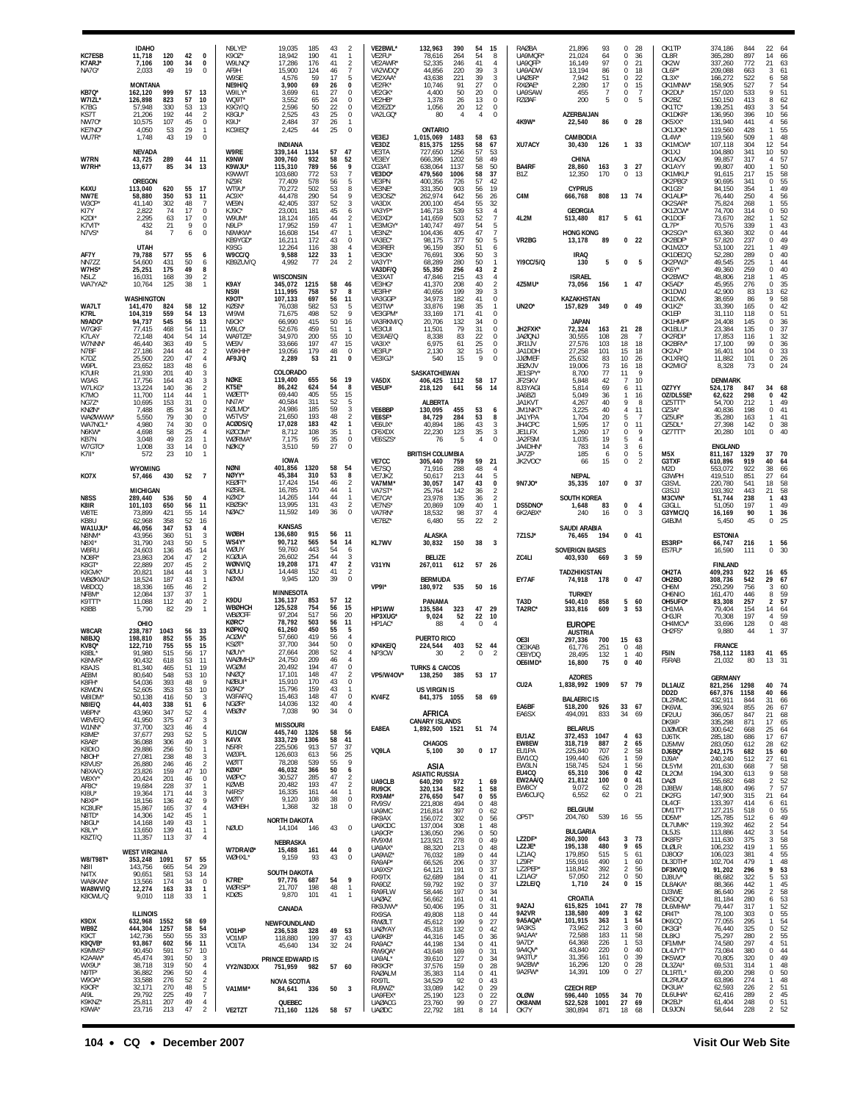| <b>KC7ESB</b><br>K7ARJ*<br>NA7G*<br><b>KB70*</b><br>W7IZL'                                                   | <b>IDAHO</b><br>120<br>11,718<br>7,106<br>100<br>2.033<br>49<br><b>MONTANA</b><br>999<br>162,120<br>126,898<br>823                                                          | 42<br>34<br>19<br>57<br>57                                     | 0<br>0<br>$\mathbf 0$<br>13<br>10                                                                                      | N9LYE*<br>K90Z*<br>W9LNQ*<br>AF9H<br>W9SE<br>NE9H/Q<br>W9II Y<br>WQ9T*                                              | 19,035<br>185<br>190<br>18,942<br>17,286<br>176<br>15,900<br>124<br>4,576<br>59<br>3,900<br>69<br>3,699<br>61<br>3,552<br>65                                                | 43<br>41<br>41<br>46<br>17<br>26<br>27<br>24             | $\overline{2}$<br>-1<br>$\overline{2}$<br>-7<br>5<br>0<br>0<br>$\theta$                                  | VE2BWL'<br>VE2FU*<br>VE2AWR*<br>VA2WDQ<br><b>VF2XAA</b><br>VE2FK*<br>VF <sub>2GK</sub><br>VE2HB* | 132,963<br>390<br>78,616<br>264<br>52,335<br>246<br>44,856<br>220<br>43,638<br>221<br>10,746<br>91<br>4,400<br>50<br>1,378<br>26                       | 54<br>15<br>54<br>8<br>41<br>$\overline{4}$<br>39<br>3<br>39<br>3<br>27<br>0<br>20<br>$\bf 0$<br>13<br>0                                  | <b>RAØBA</b><br>UA9MQR<br>UA9QFF*<br>UA9ADW<br><b>UAØSR</b><br>RXØAE <sup>®</sup><br>UA9SAW<br><b>RZØAF</b> | 21,896<br>93<br>21,024<br>64<br>97<br>16,149<br>13,194<br>86<br>51<br>7.942<br>2,280<br>17<br>455<br>200<br>5                                                   | 0<br>28<br>$^{\circ}$<br>36<br>0<br>21<br>$^{\circ}$<br>18<br>$\mathbf 0$<br>22<br>0<br>15<br>$\overline{7}$<br>$\Omega$<br>0<br>5                                               | OK1TP<br>OL8R<br>OK2W<br>OL6P*<br>$OL3X*$<br>OK1MNW*<br>OK2DU*<br>OK2BZ                                                    | 374,186<br>365,280<br>337,260<br>209,088<br>166,272<br>158,905<br>157,020<br>150,150                    | 844<br>897<br>772<br>663<br>522<br>527<br>533<br>413            | 22<br>64<br>14<br>66<br>21<br>63<br>61<br>3<br>$\frac{58}{54}$<br>6<br>$\overline{7}$<br>51<br>9<br>62<br>8                                                           |
|--------------------------------------------------------------------------------------------------------------|-----------------------------------------------------------------------------------------------------------------------------------------------------------------------------|----------------------------------------------------------------|------------------------------------------------------------------------------------------------------------------------|---------------------------------------------------------------------------------------------------------------------|-----------------------------------------------------------------------------------------------------------------------------------------------------------------------------|----------------------------------------------------------|----------------------------------------------------------------------------------------------------------|--------------------------------------------------------------------------------------------------|--------------------------------------------------------------------------------------------------------------------------------------------------------|-------------------------------------------------------------------------------------------------------------------------------------------|-------------------------------------------------------------------------------------------------------------|-----------------------------------------------------------------------------------------------------------------------------------------------------------------|----------------------------------------------------------------------------------------------------------------------------------------------------------------------------------|----------------------------------------------------------------------------------------------------------------------------|---------------------------------------------------------------------------------------------------------|-----------------------------------------------------------------|-----------------------------------------------------------------------------------------------------------------------------------------------------------------------|
| K7BG<br>KS7T<br>NW70<br>KE7NO<br>WU7R'                                                                       | 57,948<br>330<br>21,206<br>192<br>107<br>10.575<br>4,050<br>53<br>1,748<br>43                                                                                               | 53<br>44<br>45<br>29<br>19                                     | 13<br>$\overline{2}$<br>$\bf 0$<br>$\mathbf{1}$<br>$\mathbf 0$                                                         | K9GY/Q<br>K8GU*<br>K9IJ*<br>KC9IEQ*                                                                                 | 2.596<br>50<br>2,525<br>43<br>2.484<br>37<br>2,425<br>44                                                                                                                    | 22<br>25<br>26<br>25                                     | $\bf 0$<br>$\mathbf 0$<br>$\mathbf{1}$<br>$\Omega$                                                       | VE2EZD'<br>VA2LGQ'<br>VE3EJ                                                                      | $20\,$<br>1,056<br>80<br>$\overline{4}$<br>ONTARIO<br>1,015,069<br>1483                                                                                | 12<br>$\boldsymbol{0}$<br>4<br>$\Omega$<br>58<br>63                                                                                       | 4K9W*                                                                                                       | AZERBAIJAN<br>22,540<br>86<br>CAMBODIA                                                                                                                          | 0 <sub>28</sub>                                                                                                                                                                  | OK1TC*<br>OK1DKR'<br>OK5XX*<br>OK1JOK<br>OL4W*                                                                             | 139,251<br>136,950<br>131.940<br>119,560<br>119,560                                                     | 493<br>396<br>441<br>428<br>509                                 | $\frac{54}{56}$<br>3<br>10<br>56<br>$\overline{4}$<br>55<br>$\mathbf{1}$<br>48<br>$\mathbf{1}$                                                                        |
| W7RN<br>W7RH'                                                                                                | <b>NEVADA</b><br>43,725<br>289<br>85<br>13,677<br>OREGON                                                                                                                    | 44<br>34                                                       | 11<br>13                                                                                                               | W9RE<br>K9NW<br>K9WJU*<br>K9WWT<br>NZ9R                                                                             | <b>INDIANA</b><br>339,144<br>1134<br>309,760<br>932<br>115,310<br>789<br>103,680<br>772<br>77,409<br>578                                                                    | 57<br>58<br>56<br>53<br>56                               | 47<br>52<br>9<br>$\overline{7}$<br>5                                                                     | VE3DZ<br>VE3TA<br>VE3EY<br>CG3AT<br>VE3DO'<br>VE3PN                                              | 815,375<br>1255<br>727,650<br>1256<br>666,396<br>1202<br>638,064<br>1137<br>479,560<br>1006<br>726                                                     | 58<br>67<br>57<br>53<br>58<br>49<br>58<br>50<br>58<br>37<br>57<br>42                                                                      | XU7ACY<br><b>BA4RF</b><br>B <sub>1</sub> Z                                                                  | 30,430<br>126<br>CHINA<br>28,860<br>163<br>12,350<br>170                                                                                                        | 1 33<br>27<br>3<br>0<br>13                                                                                                                                                       | OK1MCW*<br>OK1XJ<br>OK1AOV<br>OK1AYY<br>OK1MKU'<br>OK2PBG                                                                  | 107,118<br>104,880<br>99,857<br>99,807<br>91,615<br>90,695                                              | 304<br>341<br>317<br>400<br>217<br>341                          | 54<br>50<br>12<br>10<br>57<br>4<br>50<br>$\mathbf{1}$<br>15<br>58<br>55<br>$\bf 0$                                                                                    |
| K4XU<br>NW7E<br>W <sub>3</sub> CP<br>KI7Y<br>K2DI*<br>K7VIT'<br>N7VS'                                        | 113,040<br>620<br>58,880<br>350<br>302<br>41,140<br>2,822<br>74<br>63<br>2.295<br>21<br>432<br>84<br>$\overline{7}$                                                         | 55<br>53<br>48<br>17<br>17<br>9<br>6                           | 17<br>11<br>$\overline{7}$<br>0<br>$\bf 0$<br>0<br>$\mathbf 0$                                                         | WT9U <sup>®</sup><br>AC9X*<br>WE9N<br>KJ9C*<br>W9UM <sup>®</sup><br>N9LF*<br>N9WKW <sup>®</sup><br>KB9YGD*          | 70,272<br>502<br>44,478<br>290<br>42.405<br>337<br>23,001<br>181<br>18.124<br>165<br>17,952<br>159<br>16,608<br>154<br>16,211<br>172                                        | 53<br>54<br>52<br>45<br>44<br>47<br>47<br>43             | 8<br>9<br>3<br>6<br>$\overline{2}$<br>$\mathbf{1}$<br>$\mathbf{1}$<br>$\mathbf 0$                        | VE3NE*<br>VE3OSZ<br>VA3DX<br>VA3YP'<br>VE3XD*<br>VE3MGY<br>VE3NZ*<br>VA3EC*                      | 400,356<br>331,350<br>903<br>262,974<br>642<br>200,100<br>454<br>146,718<br>539<br>141,659<br>503<br>140,747<br>497<br>104,436<br>405<br>98,175<br>377 | 56<br>19<br>56<br>26<br>55<br>32<br>53<br>$\overline{4}$<br>52<br>$\overline{7}$<br>54<br>5<br>47<br>$\overline{7}$<br>50<br>5            | C4M<br>4L2M<br>VR2BG                                                                                        | <b>CYPRUS</b><br>808<br>666,768<br><b>GEORGIA</b><br>513,480<br>817<br><b>HONG KONG</b><br>13,178<br>89                                                         | 13 74<br>5 61<br>0<br>- 22                                                                                                                                                       | OK1GS*<br>OK1AUP*<br>OK2SAR'<br>OK1ZCW*<br>OK1DOF<br>OL7P*<br>OK2SGY*<br>OK2BDF*                                           | 84,150<br>76,440<br>75,824<br>74,700<br>73,670<br>70,576<br>63,360<br>57,820                            | 354<br>250<br>268<br>314<br>282<br>339<br>302<br>237            | 49<br>$\mathbf{1}$<br>$\overline{4}$<br>56<br>55<br>50<br>$\mathbf{1}$<br>0<br>52<br>$\mathbf{1}$<br>43<br>44<br>$\bf 0$<br>49<br>0                                   |
| AF7Y<br>NN7ZZ<br>W7HS'<br>N5LZ<br>WA7YAZ                                                                     | <b>UTAH</b><br>79,788<br>577<br>431<br>54,600<br>25,251<br>175<br>16,031<br>168<br>10,764<br>125                                                                            | 55<br>50<br>49<br>39<br>38                                     | 6<br>6<br>8<br>$\overline{2}$                                                                                          | K9SG<br>W9CC/Q<br>KB9ZUV/Q<br>K9AY<br>NS9I                                                                          | 12,264<br>116<br>9,588<br>122<br>4,992<br>77<br>WISCONSIN<br>345,072<br>1215<br>758                                                                                         | 38<br>33<br>24<br>58<br>57                               | $\overline{4}$<br>$\mathbf{1}$<br>-2<br>46<br>8                                                          | VE3RER<br>VE3OX*<br>VA3YT*<br>VA3DF/Q<br>VE3XAT<br>VE3HG<br>VE3FH'                               | 96,159<br>350<br>76,691<br>306<br>280<br>68,289<br>55,350<br>256<br>47,846<br>215<br>41,370<br>208<br>40,656<br>199                                    | 51<br>6<br>50<br>3<br>50<br>$\overline{1}$<br>43<br>$\overline{2}$<br>43<br>$\overline{4}$<br>40<br>$\overline{2}$<br>39<br>$\mathcal{R}$ | YI9CC/5/Q<br>4Z5MU*                                                                                         | <b>IRAQ</b><br>130<br>5<br><b>ISRAEL</b><br>73,056<br>156                                                                                                       | 0<br>5<br>$1 \quad 47$                                                                                                                                                           | OK1MZO'<br>OK1DEC/C<br>OK2PWJ'<br>OK6Y*<br>OK2BWC<br>OK5AD*<br>OK1DWJ                                                      | 53,100<br>52,280<br>49,545<br>49,360<br>48,806<br>45,955<br>42,900                                      | 221<br>289<br>225<br>259<br>218<br>276<br>83                    | 49<br>$\mathbf{1}$<br>40<br>$\mathbf 0$<br>44<br>-1<br>$\mathbf 0$<br>40<br>45<br>$\mathbf{1}$<br>$\frac{35}{62}$<br>$\mathbf 0$<br>13                                |
| <b>WA7LT</b><br>K7RL<br>N9ADG <sup>®</sup><br>W7GKF<br>K7LAY<br>W7NNN<br>N7BF<br>K7DZ<br>W9PL                | WASHINGTON<br>141,470<br>824<br>104,319<br>559<br>94,737<br>545<br>77,415<br>468<br>72,148<br>404<br>46.440<br>363<br>27,186<br>244<br>25,500<br>220<br>23,652<br>183       | 58<br>54<br>56<br>54<br>54<br>49<br>44<br>47<br>48             | 12<br>13<br>13<br>11<br>14<br>5<br>$\overline{2}$<br>4<br>6                                                            | <b>K90T*</b><br>KØSN*<br>WI9WI<br>N9CK*<br>W9LO <sup>*</sup><br>WA9TZE<br>WF9V<br><b>W9KHH</b><br>AF9J/Q            | 111,995<br>107,133<br>697<br>76,038<br>582<br>71,675<br>498<br>66,990<br>415<br>52,676<br>459<br>34,970<br>200<br>197<br>33,666<br>19,056<br>179<br>2,289<br>53<br>COLORADO | 56<br>53<br>52<br>50<br>51<br>55<br>47<br>48<br>21       | 11<br>-5<br>q<br>16<br>-1<br>10<br>15<br>0<br>$\Omega$                                                   | VA3GGF*<br>VE3TW*<br>VE3GPM*<br>VA3RKM/Q<br>VE3CUL<br>VE3IAE/Q<br>VA3IX'<br>VE3FU*<br>VE3IGJ'    | 34.973<br>182<br>33,876<br>198<br>171<br>33,169<br>20,706<br>132<br>11,501<br>79<br>8,338<br>83<br>6.975<br>61<br>2,130<br>32<br>15<br>540             | 41<br>$\mathbf 0$<br>35<br>41<br>0<br>34<br>0<br>31<br>$\bf 0$<br>22<br>0<br>25<br>$\bf 0$<br>15<br>$^{\circ}$<br>9<br>$\mathbf 0$        | UN20*<br>JH2FXK<br>JAØQN.<br>JR1LIV<br>JA1DDH<br><b>JJØMEI</b><br><b>JEØVJV</b>                             | <b>KAZAKHSTAN</b><br>157,829<br>349<br><b>JAPAN</b><br>72,324<br>163<br>30.555<br>108<br>27,576<br>103<br>27,258<br>101<br>25,632<br>83<br>73<br>19,006         | $0$ 49<br>21<br>28<br>28<br>-7<br>18<br>18<br>15<br>18<br>10<br>26<br>16<br>18                                                                                                   | OK1DVK<br>OK1KZ*<br>OK1EP<br>OK1HMP<br>OK1BLU<br>OK2RDI'<br>OK2BRV*<br>OK2AJ*<br>OK1XR/Q<br>OK2MIG                         | 38.659<br>33,390<br>31.110<br>24,408<br>23,384<br>17,853<br>17.100<br>16,401<br>11,882<br>8,328         | 86<br>165<br>118<br>145<br>135<br>116<br>99<br>104<br>101<br>73 | 58<br>9<br>42<br>0<br>51<br>$\bf 0$<br>36<br>0<br>37<br>$\bf 0$<br>32<br>-1<br>$\mathbf 0$<br>$\frac{36}{33}$<br>0<br>$\bf 0$<br>26<br>$\bf 0$<br>24                  |
| K7UIR<br>W3AS<br>W7LKG<br>K7MO<br>NG7Z'<br>KNØN'<br>WAØWWW'<br>WA7NCL<br>N6KW*<br>KB7N<br>W7GTO <sup>®</sup> | 21,930<br>201<br>17,756<br>164<br>140<br>13,224<br>11,700<br>114<br>10.695<br>153<br>7.488<br>85<br>5,550<br>79<br>4.980<br>74<br>58<br>4,698<br>49<br>3.048<br>33<br>1,008 | 40<br>43<br>36<br>44<br>31<br>34<br>30<br>30<br>25<br>23<br>14 | 3<br>3<br>$\overline{2}$<br>$\mathbf{1}$<br>0<br>$\overline{2}$<br>0<br>$\bf 0$<br>$\overline{4}$<br>$\mathbf{1}$<br>0 | NØKE<br>KT5F'<br><b>WØETT</b><br>NN7A*<br><b>KØLMD</b><br>W5TVS<br>ACØDS/Q<br><b>KØCOM</b><br><b>WØRMA</b><br>NØKQ* | 119,400<br>655<br>86,242<br>624<br>69.440<br>405<br>40,584<br>311<br>24,986<br>185<br>21,650<br>193<br>17,028<br>183<br>8,712<br>108<br>95<br>7,175<br>59<br>3.510          | 56<br>54<br>55<br>52<br>59<br>48<br>42<br>35<br>35<br>27 | 19<br>-8<br>15<br>5<br>3<br>$\overline{2}$<br>$\mathbf{1}$<br>$\mathbf{1}$<br>$\mathbf 0$<br>$\mathbf 0$ | VA5DX<br>VE5UF<br>VE6BBP<br>VE6SF*<br>VE6UX*<br>CF6XDX<br>VE6SZS'                                | SASKATCHEWAN<br>406,425<br>1112<br>218,120<br>641<br><b>ALBERTA</b><br>130.095<br>455<br>84,729<br>284<br>186<br>40.894<br>22,230<br>123<br>76<br>5    | 58<br>- 17<br>56<br>-14<br>53<br>6<br>53<br>-8<br>43<br>$\overline{\mathbf{3}}$<br>$\overline{3}$<br>35<br>$\overline{4}$<br>$\Omega$     | JE1SPY<br>JF2SKV<br>8J3YAGI<br>JA6BZI<br>JA1KVT<br>JM1NKT<br>JA1YPA<br>JH4CPC<br>JE1LFX<br>JA2FSM<br>JA4DHN | 77<br>8,700<br>5,848<br>42<br>5,814<br>69<br>5,049<br>36<br>4,267<br>40<br>40<br>3,225<br>1,704<br>20<br>17<br>1,595<br>1,260<br>17<br>19<br>1,035<br>783<br>14 | 11<br>- q<br>$\overline{7}$<br>10<br>6<br>11<br>$\mathbf{1}$<br>16<br>9<br>8<br>$\overline{4}$<br>11<br>-5<br>-7<br>$\mathbf 0$<br>11<br>0<br>9<br>5<br>$\overline{4}$<br>3<br>6 | OZ7YY<br>0Z/DL5SE*<br>OZ5TTT <sup>*</sup><br>OZ3A*<br>0Z5UR*<br>OZ5DL'<br>OZ7TTT                                           | <b>DENMARK</b><br>524,178<br>62,622<br>54.700<br>40.836<br>35,280<br>27,398<br>20,280<br><b>ENGLAND</b> | 847<br>298<br>212<br>198<br>163<br>142<br>101                   | 34<br>68<br>$\pmb{0}$<br>42<br>49<br>-1<br>$\bf 0$<br>41<br>41<br>-1<br>$\bf 0$<br>38<br>0<br>40                                                                      |
| K711*<br>KO7X                                                                                                | 23<br>572<br><b>WYOMING</b><br>57,466<br>430<br><b>MICHIGAN</b>                                                                                                             | 10<br>52                                                       | $\mathbf{1}$<br>$\overline{7}$                                                                                         | <b>NØNI</b><br>NØYY*<br><b>KEØFT</b><br>KØSRL                                                                       | <b>IOWA</b><br>401,856<br>1320<br>45,384<br>310<br>17,424<br>154<br>16.785<br>170                                                                                           | 58<br>53<br>46<br>44                                     | 54<br>-8<br>$\overline{2}$<br>$\mathbf{1}$                                                               | VE7CC<br>VE7SQ<br>VE7JKZ<br>VA7MM<br>VA7ST <sup>®</sup>                                          | <b>BRITISH COLUMBIA</b><br>305,440<br>759<br>71,916<br>288<br>50,617<br>213<br>30,057<br>147<br>25,764<br>142                                          | 59<br>21<br>48<br>$\overline{4}$<br>44<br>5<br>$\mathbf 0$<br>43<br>36<br>$\overline{2}$                                                  | JA7ZP<br>JK2VOC<br>9N7JO*                                                                                   | 185<br>6<br>15<br>66<br><b>NEPAL</b><br>107<br>35,335                                                                                                           | $\mathbf 0$<br>5<br>0<br>$\overline{2}$<br>- 37<br>$\Omega$                                                                                                                      | M <sub>5</sub> X<br>G3TXF<br>M2D<br>G3WPH<br>G3SVL<br>G3SJJ                                                                | 811,167<br>610,896<br>553,072<br>419,510<br>220,780<br>193,392                                          | 1329<br>919<br>922<br>851<br>541<br>443                         | 37<br>70<br>40<br>64<br>38<br>66<br>$\substack{64 \\ 58}$<br>27<br>18<br>21                                                                                           |
| <b>N8SS</b><br>K8IR<br>W8TE<br>KB8U<br>WA1UJU                                                                | 289,440<br>536<br>101,103<br>650<br>73,899<br>421<br>62,968<br>358<br>46,056<br>347                                                                                         | 50<br>56<br>55<br>52<br>53                                     | $\overline{4}$<br>11<br>14<br>16<br>4                                                                                  | KØXD*<br><b>KBØSK</b> *<br>NØAC*                                                                                    | 14,265<br>144<br>13,995<br>131<br>11,592<br>149<br><b>KANSAS</b>                                                                                                            | 44<br>43<br>36                                           | $\overline{1}$<br>$\overline{2}$<br>$\mathbf 0$                                                          | VE7CA*<br>VE7NS*<br>VA7RN<br>VE7BZ*                                                              | 23,978<br>135<br>20,869<br>109<br>18,532<br>98<br>6,480<br>55                                                                                          | $\overline{2}$<br>36<br>40<br>$\overline{1}$<br>37<br>$\overline{4}$<br>22<br>$\overline{2}$                                              | DS5DNO*<br>6K2ABX                                                                                           | <b>SOUTH KOREA</b><br>1,648<br>83<br>240<br>16<br>SAUDI ARABIA                                                                                                  | 0<br>4<br>3<br>$^{\circ}$                                                                                                                                                        | M3CVN*<br>G3GLL<br>G3YMC/Q<br>G4BJM                                                                                        | 51,744<br>51,050<br>16,169<br>5,450                                                                     | 238<br>197<br>90<br>45                                          | $\frac{58}{43}$<br>$\mathbf{1}$<br>49<br>$\mathbf{1}$<br>36<br>$\mathbf{1}$<br>$\mathbf 0$<br>25                                                                      |
| N8NM <sup>*</sup><br>N8XI*<br><b>W8RU</b><br>NO8R <sup>®</sup><br>K8GT*                                      | 43,956<br>360<br>31,790<br>243<br>24,603<br>136<br>23,863<br>204<br>22,889<br>207                                                                                           | 51<br>50<br>45<br>47<br>45                                     | 3<br>5<br>14<br>$\overline{2}$<br>$\sqrt{2}$                                                                           | <b>WØBH</b><br>WS4Y<br>WØUY<br>KGØUA<br>WØNV/Q<br><b>NØUU</b>                                                       | 136,680<br>915<br>90,712<br>565<br>59,760<br>443<br>26,602<br>254<br>19,208<br>171                                                                                          | 56<br>54<br>54<br>44<br>47<br>41                         | 11<br>14<br>6<br>3<br>$\overline{2}$<br>2                                                                | <b>KL7WV</b><br>V31YN                                                                            | <b>ALASKA</b><br>30,832<br>150<br><b>BELIZE</b><br>267,011<br>612                                                                                      | 38<br>-3<br>57 26                                                                                                                         | 7Z1SJ*<br>ZC4LI                                                                                             | 76,465<br>- 194<br><b>SOVERIGN BASES</b><br>403,930<br>669                                                                                                      | 0, 41<br>3 59                                                                                                                                                                    | ES3RF*<br>ES7FU'                                                                                                           | <b>ESTONIA</b><br>66,747<br>16,590<br><b>FINLAND</b>                                                    | 216<br>111                                                      | 56<br>$\mathbf{1}$<br>30<br>$\mathbf{0}$                                                                                                                              |
| K8GVK<br>WBØKWJ <sup>®</sup><br>W8DCQ<br>NF8M*<br>K9TTT <sup>*</sup><br>K8BB                                 | 20,821<br>184<br>18,524<br>187<br>18,336<br>165<br>137<br>12.084<br>11,088<br>112<br>82<br>5,790<br>OHIO                                                                    | 44<br>43<br>46<br>37<br>40<br>29                               | 3<br>$\mathbf{1}$<br>$\overline{2}$<br>$\mathbf{1}$<br>$\overline{2}$<br>$\mathbf{1}$                                  | <b>NØXM</b><br>K9DU<br><b>WBØHCH</b><br><b>WBØCFF</b><br>KØRC*                                                      | 14,448<br>152<br>9,945<br>120<br>MINNESOTA<br>136,137<br>853<br>125,528<br>754<br>97,204<br>517<br>78,792<br>503                                                            | 39<br>57<br>56<br>56<br>56                               | $\Omega$<br>-12<br>15<br>20<br>11                                                                        | VP9I*<br>HP1WW<br>HP3XUG'<br>HP1AC*                                                              | <b>BERMUDA</b><br>180,972<br>535<br>PANAMA<br>135,584<br>323<br>9,024<br>52<br>88<br>$\overline{4}$                                                    | 50 16<br>47<br>29<br>22<br>10<br>$^{\circ}$<br>$\overline{4}$                                                                             | EY7AF<br>TA3D<br>TA2RC'                                                                                     | TADZHIKISTAN<br>74,918<br>178<br><b>TURKEY</b><br>540,410<br>858<br>333,816<br>609                                                                              | 0 <sub>47</sub><br>5<br>- 60<br>3<br>53                                                                                                                                          | OH2TA<br>OH2BO<br>OH6M<br>OH6NIO<br>OH5UFO*<br>OH1MA<br>OH3JR<br>OH4MCV'                                                   | 409,293<br>308,736<br>250,299<br>161,470<br>83,308<br>79,404<br>70,308<br>33,696                        | 922<br>542<br>756<br>446<br>257<br>154<br>197<br>128            | 16<br>65<br>29<br>67<br>3<br>60<br>59<br>8<br>$\frac{57}{64}$<br>$\overline{2}$<br>14<br>59<br>4<br>48<br>$\bf 0$                                                     |
| <b>W8CAR</b><br>N8BJQ<br>KV8O'<br>K8BL<br><b>K8NVR</b><br>K8AJS                                              | 238,787<br>1043<br>198,810<br>852<br>755<br>122,710<br>91,980<br>515<br>90,432<br>618<br>81.340<br>465                                                                      | 56<br>55<br>55<br>56<br>53<br>51                               | 33<br>35<br>15<br>17<br>11<br>19                                                                                       | KØPK/Q<br>ACØW <sup>®</sup><br>KSØT*<br>NØUY*<br>WAØMHJ'<br>WGON                                                    | 61,260<br>450<br>57,660<br>419<br>37.700<br>344<br>27,664<br>208<br>24,750<br>209<br>20.492<br>194                                                                          | 55<br>56<br>50<br>52<br>46<br>41                         | -5<br>$\overline{4}$<br>$\mathbf 0$<br>$\overline{4}$<br>$\overline{4}$<br>-0                            | KP4KE/Q<br>NP3CW                                                                                 | <b>PUERTO RICO</b><br>224,544<br>403<br>30<br>$\overline{2}$<br><b>TURKS &amp; CAICOS</b>                                                              | 52<br>-44<br>0<br>$\overline{2}$                                                                                                          | OE3I<br>OE3KAB<br>OE8YDQ<br>OE6IMD'                                                                         | <b>EUROPE</b><br><b>AUSTRIA</b><br>700<br>297,336<br>61,776<br>251<br>28,495<br>132<br>16,800<br>75                                                             | 15<br>63<br>0<br>48<br>$\overline{1}$<br>40<br>$\Omega$<br>40                                                                                                                    | OH2FS*<br>F5IN<br>F5RAB                                                                                                    | 9,880<br><b>FRANCE</b><br>758,112<br>21.032                                                             | 44<br>1183<br>80                                                | 37<br>$\mathbf{1}$<br>41<br>65<br>13<br>-31                                                                                                                           |
| AF8M<br>K8FH*<br>K8WDN<br>W8IDM*<br>N8IE/Q<br>W8PN*                                                          | 80,640<br>548<br>54,036<br>393<br>52,605<br>353<br>50,138<br>416<br>338<br>44,403<br>43,960<br>347                                                                          | 53<br>48<br>53<br>50<br>51<br>52                               | 10<br>9<br>10<br>3<br>6<br>4                                                                                           | NNØQ*<br>NØBUI <sup>*</sup><br>KØAD*<br>W3FAF/C<br>NGØR*<br>WBØN*                                                   | 17,101<br>148<br>15,910<br>170<br>15,796<br>159<br>15,463<br>148<br>14,036<br>132<br>7,038<br>90                                                                            | 47<br>43<br>43<br>47<br>40<br>34                         | $\overline{2}$<br>$\,0\,$<br>$\mathbf{1}$<br>$\bf 0$<br>$\overline{4}$<br>0                              | VP5/W40V*<br>KV4FZ                                                                               | 138,250 385<br><b>US VIRGIN IS</b><br>841,375 1055<br>AFRICA                                                                                           | 53 17<br>58 69                                                                                                                            | CU <sub>2</sub> A<br>EA6BF<br>EA6SX                                                                         | <b>AZORES</b><br>1,838,992 1909<br><b>BALAERIC IS</b><br>518,200 926<br>494,091<br>833                                                                          | 57 79<br>33 67<br>34 69                                                                                                                                                          | DL1AUZ<br>DD2D<br>DL2RMC<br>DK6WL<br>DF2UU                                                                                 | <b>GERMANY</b><br>821,256 1298<br>667,376<br>432,911<br>396,924<br>366,057                              | 1158<br>844<br>855<br>847                                       | 40<br>- 74<br>40<br>66<br>31<br>66<br>67<br>26<br>21<br>68                                                                                                            |
| W8VE/Q<br>W1NN*<br>K8ME*<br>K8AB*                                                                            | 41,950<br>375<br>37,700<br>323<br>293<br>37,677<br>36,088<br>306                                                                                                            | 47<br>46<br>52<br>49                                           | 3<br>4<br>$\,$ 5<br>$_{\rm 3}$                                                                                         | KU1CW<br>K4VX                                                                                                       | <b>MISSOURI</b><br>445,740<br>1326<br>333,729<br>1306                                                                                                                       | 58<br>58                                                 | 56<br>41                                                                                                 | EA8EA                                                                                            | <b>CANARY ISLANDS</b><br>1,892,500 1521                                                                                                                | 51 74                                                                                                                                     | EU1AZ                                                                                                       | <b>BELARUS</b><br>372,453<br>1047                                                                                                                               | 4<br>63                                                                                                                                                                          | DK9IP<br><b>DJØMDR</b><br>DJ6TK                                                                                            | 335,298<br>300,642<br>285,180                                                                           | 871<br>668<br>686                                               | 65<br>17<br>$64$<br>$67$<br>25<br>17                                                                                                                                  |
| K8DIO<br>N8OH*<br>K8VUS'<br>N8XA/Q<br>W8XY*<br>AF8C*<br>KI8U*                                                | 29,886<br>256<br>27,081<br>238<br>26,880<br>246<br>23,826<br>159<br>20,424<br>201<br>19,684<br>228<br>19,364<br>171                                                         | 50<br>48<br>46<br>47<br>46<br>37<br>44                         | $\mathbf{1}$<br>3<br>$\sqrt{2}$<br>10<br>0<br>$\mathbf{1}$<br>3                                                        | N5RR<br>WØJPL<br>WØTT<br>KØXI*<br>WØPC*<br>KØWB<br>N4RS*                                                            | 225,506<br>913<br>126,603<br>613<br>78,208<br>539<br>46,032<br>366<br>30,527<br>285<br>20,482<br>193<br>16,335<br>161                                                       | 57<br>56<br>55<br>50<br>47<br>47<br>44                   | 37<br>25<br>9<br>6<br>$\overline{2}$<br>$\overline{2}$<br>$\mathbf{1}$                                   | VQ9LA<br>UA9CLB<br><b>RU9CK</b><br>RX9AM*                                                        | CHAGOS<br>5,100<br>30<br>ASIA<br><b>ASIATIC RUSSIA</b><br>640,290<br>972<br>320,134<br>582<br>547<br>276,650                                           | $0$ 17<br>1 69<br>58<br>$\mathbf{1}$<br>$\bf{0}$<br>55                                                                                    | EW8EW<br>EU1PA<br>EW1CQ<br>EW3LN<br>EU4CQ<br>EW2AA/Q<br>EW8CY<br>EW6CU/Q                                    | 318,719<br>887<br>225,840<br>707<br>199,440<br>626<br>158,745<br>524<br>65,310<br>306<br>100<br>21,812<br>9,072<br>62<br>6,552<br>62                            | $\overline{2}$<br>65<br>$\overline{2}$<br>58<br>59<br>$\mathbf{1}$<br>56<br>$\mathbf{1}$<br>0<br>42<br>0<br>41<br>$\bf 0$<br>28<br>0<br>21                                       | DJ5MW<br>DJ6BQ*<br>DJ9A*<br>DL5YM<br>DL20M<br>DAØI<br>DJ8EW<br>DK2FG                                                       | 283,050<br>242,175<br>240,240<br>201,630<br>194,300<br>155,682<br>148,800<br>147,900                    | 612<br>682<br>512<br>668<br>613<br>648<br>496<br>315            | 28<br>62<br>60<br>15<br>$\frac{61}{58}$<br>27<br>$\overline{7}$<br>9<br>58<br>$\overline{2}$<br>$\frac{52}{57}$<br>$\overline{7}$<br>21<br>64                         |
| N8XP*<br>KC8UR <sup>®</sup><br>N8TD*<br>N8GU*<br>K8LY*                                                       | 136<br>18,156<br>165<br>15,867<br>142<br>14,306<br>149<br>14,168<br>139<br>13,650                                                                                           | 42<br>37<br>45<br>43<br>41                                     | 9<br>$\overline{4}$<br>$\mathbf{1}$<br>$\mathbf{1}$<br>$\mathbf{1}$                                                    | WØTY<br>WØHBH<br>NØUD                                                                                               | 108<br>9,120<br>32<br>1,368<br>NORTH DAKOTA<br>14,104<br>146                                                                                                                | 38<br>18<br>43                                           | $\mathbf 0$<br>$\mathbf 0$<br>$\mathbf 0$                                                                | RV9SV<br>UA9MC<br>RK9AX<br>UA9CDC<br>UA9CR*                                                      | 221,808<br>494<br>397<br>216,814<br>156,072<br>302<br>137,004<br>308<br>136,050<br>296                                                                 | 0<br>48<br>0<br>62<br>0<br>56<br>48<br>$\mathbf{1}$<br>$\mathbf 0$<br>50                                                                  | OP5T*                                                                                                       | <b>BELGIUM</b><br>539<br>204,760<br>BULGARIA                                                                                                                    | 16 55                                                                                                                                                                            | DL4CF<br>DM1TT*<br>DD5M*<br>DL7UMK <sup>*</sup><br>DL5JS                                                                   | 133,397<br>127,215<br>125,785<br>119,392<br>113,886                                                     | 414<br>518<br>512<br>462<br>442                                 | 61<br>6<br>55<br>0<br>49<br>6<br>$\overline{a}$<br>$\frac{54}{54}$<br>3                                                                                               |
| K8ZT/Q<br>W8/T98T*                                                                                           | 11,357<br>113<br><b>WEST VIRGINIA</b><br>353,248<br>1091                                                                                                                    | 37<br>57                                                       | $\overline{4}$<br>55                                                                                                   | W7DRA/Ø*<br>WØHXL*                                                                                                  | NEBRASKA<br>15,488<br>161<br>9,159<br>93                                                                                                                                    | 44<br>43                                                 | $\Omega$<br>0                                                                                            | RV9XM<br>UA9AX*<br>UA9WZ'                                                                        | 123,921<br>278<br>88,320<br>213<br>76,032<br>189                                                                                                       | 49<br>$^{\circ}$<br>$\mathbf 0$<br>- 48<br>$\mathbf 0$<br>-44                                                                             | LZ2DF*<br>LZ2JE*<br>LZ1AQ                                                                                   | 260,300<br>643<br>195,138<br>480<br>179,850<br>515                                                                                                              | 3<br>73<br>9<br>65<br>5<br>61                                                                                                                                                    | DK8FS*<br>DLØLR<br>DJ80G*                                                                                                  | 111,630<br>106,232<br>106,023                                                                           | 375<br>419<br>381                                               | $\begin{array}{c} 58 \\ 55 \end{array}$<br>3<br>$\mathbf{1}$<br>55<br>$\overline{4}$                                                                                  |
| N8II.<br>N4TX<br>WA8KAN*<br>WA8WV/Q<br>K80WL/Q                                                               | 143,756<br>665<br>90,651<br>581<br>174<br>13,566<br>12,274<br>163<br>9,010<br>118                                                                                           | 54<br>53<br>34<br>33<br>33                                     | 29<br>14<br>$\,0\,$<br>$\mathbf{1}$<br>$\mathbf{1}$                                                                    | K7RE*<br>WØRSP*<br>KDØS                                                                                             | SOUTH DAKOTA<br>687<br>97.776<br>21,707<br>198<br>101<br>9,870                                                                                                              | 54<br>48<br>41                                           | 9<br>$\mathbf{1}$<br>$\overline{1}$                                                                      | RA9AP*<br>UA9XS*<br>RX9TX<br>RA9DZ<br>RA9FI W<br><b>UAØAZ</b>                                    | 66,526<br>206<br>64,121<br>191<br>62,689<br>184<br>59,792<br>192<br>58,446<br>197<br>56,662<br>161                                                     | $\mathbf 0$<br>37<br>37<br>$\mathbf{0}$<br>0<br>41<br>0<br>37<br>$\mathbf 0$<br>34<br>0<br>41                                             | LZ9R*<br>LZ2PEP*<br>LZ1AG*<br>LZ2LE/Q                                                                       | 490<br>155,916<br>118,842<br>392<br>57,050<br>212<br>1,710<br>24<br>CROATIA                                                                                     | 60<br>$\mathbf{1}$<br>2<br>56<br>50<br>$\bf{0}$<br>$\bf{0}$<br>15                                                                                                                | DL3DTH'<br>DF3KV/Q<br>DJ8UV*<br>DL8AKA*<br>DJ3WE<br>DK5DQ*                                                                 | 102,704<br>91,202<br>88,682<br>88,366<br>86,640<br>81,184                                               | 479<br>296<br>322<br>442<br>296<br>280                          | 48<br>$\mathbf{1}$<br>9<br>$\frac{53}{53}$<br>5<br>45<br>$\mathbf{1}$<br>$\overline{2}$<br>58<br>53<br>6                                                              |
| K9DX<br>WB9Z<br>K9CT<br>K9QVB*<br>K9MMS*<br>K2AAW*<br>WX9U*                                                  | <b>ILLINOIS</b><br>632,968<br>1552<br>444,304<br>1257<br>142,736<br>550<br>93,867<br>602<br>90,450<br>591<br>45,474<br>391<br>38,718<br>319                                 | 58<br>58<br>55<br>56<br>57<br>50<br>50                         | 69<br>54<br>33<br>11<br>10<br>3<br>$\overline{4}$                                                                      | VO1HP<br>VO1MP<br>VO1TA                                                                                             | CANADA<br>NEWFOUNDLAND<br>236,538<br>328<br>118.880<br>199<br>45,640<br>134<br>PRINCE EDWARD IS                                                                             | 37<br>32                                                 | 49 53<br>-43<br>24                                                                                       | RK9JWV*<br>RX9SA<br>RWØI T<br><b>UAØYAY</b><br>UA9KB*<br>RA9AC*<br>RW9QA<br>UA9AL*<br>RK9CR*     | 50,406<br>195<br>49,808<br>118<br>45,612<br>199<br>45,318<br>132<br>44,316<br>145<br>44,198<br>134<br>43,648<br>169<br>127<br>39,610<br>37,576<br>159  | $\mathbf 0$<br>-31<br>0<br>44<br>9<br>27<br>0<br>42<br>0<br>36<br>0<br>41<br>- 31<br>$^{\circ}$<br>0<br>34<br>-28                         | 9A2AJ<br>9A2VR<br><b>9A5AQA</b><br>9A3KS<br>9A1AA<br>9A7D*<br>9A4QV*<br>9A3TU*<br>9A2BW*                    | 615,825<br>1041<br>138,580<br>409<br>101,915<br>363<br>73,962<br>212<br>72,588<br>183<br>64,368<br>226<br>43,840<br>220<br>31,356<br>161<br>16,296<br>120       | 27<br>- 78<br>62<br>3<br>1<br>54<br>60<br>3<br>11<br>58<br>53<br>-1<br>0<br>40<br>$\bf{0}$<br>39<br>0<br>28                                                                      | DL6MHW <sup>®</sup><br>DR4T*<br>DK6CQ<br>DK3GI <sup>®</sup><br>DL8KJ<br>DF1MM'<br>DL4JYT <sup>*</sup><br>DK5WO*<br>DL3ZAI* | 79,447<br>78,100<br>77,055<br>76,440<br>75,297<br>74,580<br>73,084<br>70,805<br>69,531                  | 317<br>303<br>295<br>325<br>280<br>297<br>380<br>320<br>314     | 52<br>$\mathbf{1}$<br>55<br>0<br>54<br>$\mathbf{1}$<br>52<br>$\mathsf{O}\xspace$<br>55<br>$\overline{2}$<br>51<br>4<br>$\bf 0$<br>44<br>49<br>0<br>48<br>$\mathbf{1}$ |
| N9TF*<br>W9OA*<br>K9OR <sup>®</sup>                                                                          | 36,882<br>296<br>33,588<br>276<br>32,171<br>270                                                                                                                             | 50<br>52<br>48                                                 | 4<br>$\sqrt{2}$<br>5                                                                                                   | VY2/N3DXX<br>VA1MM*                                                                                                 | 751,959<br>982<br><b>NOVA SCOTIA</b><br>84,641<br>336                                                                                                                       | 50                                                       | 57 60<br>-3                                                                                              | RAØALM<br>RX9TL<br>RU9WZ'                                                                        | 35,383<br>114<br>34,529<br>92<br>33,089<br>142                                                                                                         | $\mathbf{0}$<br>$\mathbf 0$<br>41<br>0, 43<br>$\mathbf 0$<br>29                                                                           | 9A2FW*                                                                                                      | 14,391<br>109<br><b>CZECH REP</b>                                                                                                                               | $\mathbf 0$<br>27                                                                                                                                                                | DL1RTL*<br>DL2RUG'<br>DK3UA*                                                                                               | 69,200<br>63,896<br>62,593                                                                              | 298<br>274<br>226                                               | 50<br>0<br>48<br>$\mathbf{1}$<br>$\overline{2}$<br>51                                                                                                                 |
| AI9L<br>K9KNZ*<br>K9WA*                                                                                      | 29,792<br>225<br>207<br>25,811<br>213<br>23,716                                                                                                                             | 49<br>49<br>47                                                 | $\overline{7}$<br>$\overline{4}$<br>$\overline{2}$                                                                     | VE2TZT                                                                                                              | QUEBEC<br>711,160 1126                                                                                                                                                      |                                                          | 58 57                                                                                                    | UA9FEX'<br><b>UAØACG</b><br><b>UAØDC</b>                                                         | 25,190<br>123<br>23,760<br>99<br>22,792<br>181                                                                                                         | 0<br>22<br>27<br>0<br>8<br>14                                                                                                             | <b>OLØW</b><br>OK8ANM<br>OK7Y                                                                               | 596,440 1055<br>1001<br>522,528<br>380,894<br>-871                                                                                                              | 34 70<br>27<br>- 69<br>18 68                                                                                                                                                     | DL6UHA'<br>DK2BJ*<br>DL9JON                                                                                                | 62,416<br>61,404<br>58,644                                                                              | 289<br>248<br>228                                               | 45<br>$\overline{2}$<br>$\mathbf 0$<br>51<br>2 52                                                                                                                     |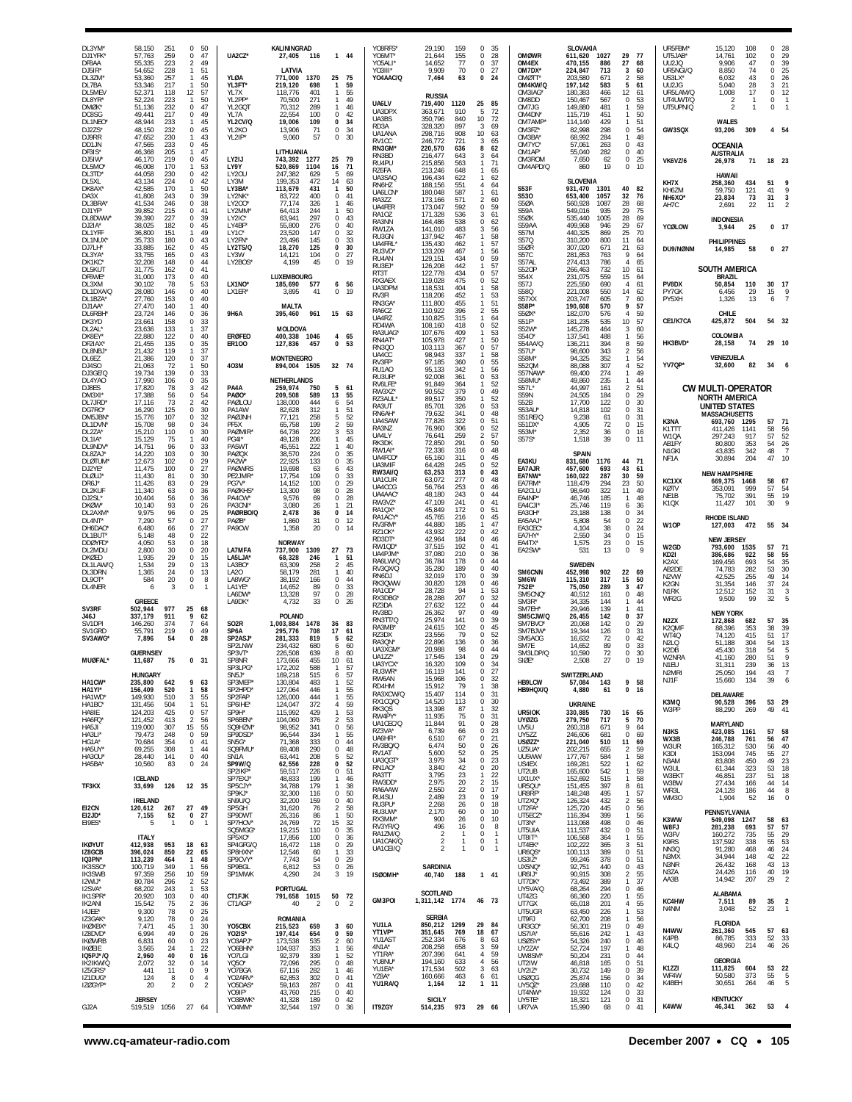| DL3YM*<br>DJ1YFK'<br>DF8AA<br>DJ5IR'<br>DL3ZM<br>DL7BA   | 58,150<br>251<br>57,763<br>259<br>223<br>55,335<br>54,652<br>228<br>53,360<br>257<br>53,346<br>217 | 0<br>-50<br>0<br>47<br>49<br>$\overline{\mathbf{c}}$<br>1<br>51<br>$\mathbf{1}$<br>45<br>$\mathbf{1}$<br>50 | UA2CZ*<br>YLØA<br>YL3FT                                 | KALININGRAD<br>27,405<br>116<br>LATVIA<br>771,000<br>1370<br>219,120<br>698         | 1 44<br>25<br>75<br>59<br>$\mathbf{1}$                           | YO8RFS*<br>YO6MT*<br>YO5ALI*<br>YO3III*<br>YO4AAC/Q | 29.190<br>159<br>21,644<br>155<br>14,652<br>77<br>9,909<br>70<br>7,464<br>63            | 0<br>- 35<br>0<br>28<br>$\mathbf 0$<br>37<br>27<br>0<br>$0$ 24                                | <b>OMØWR</b><br>OM4EX<br>OM7DX'<br>OMØTT <sup>*</sup><br>OM4KW/Q | SLOVAKIA<br>611,620<br>1027<br>470,155<br>886<br>224,847<br>713<br>203,580<br>671<br>197,142<br>583 | 29<br>- 77<br>27<br>68<br>3<br>60<br>$\overline{2}$<br>58<br>5<br>61 | UR5FBM*<br>UT5JAB*<br>111210<br>UR5NGI/Q<br>US3LX*<br>UU2JG | 15.120<br>108<br>14,761<br>102<br>9.906<br>47<br>8,850<br>74<br>6,032<br>43<br>5,040<br>28 | $\Omega$<br>0<br>0<br>0<br>0<br>3 | 28<br>29<br>39<br>25<br>26<br>21   |
|----------------------------------------------------------|----------------------------------------------------------------------------------------------------|-------------------------------------------------------------------------------------------------------------|---------------------------------------------------------|-------------------------------------------------------------------------------------|------------------------------------------------------------------|-----------------------------------------------------|-----------------------------------------------------------------------------------------|-----------------------------------------------------------------------------------------------|------------------------------------------------------------------|-----------------------------------------------------------------------------------------------------|----------------------------------------------------------------------|-------------------------------------------------------------|--------------------------------------------------------------------------------------------|-----------------------------------|------------------------------------|
| DL5MEV<br>DL8YR<br>DMQK.<br>DC8SG                        | 52,371<br>118<br>52,224<br>223<br>232<br>51,136<br>49,441<br>217                                   | 57<br>12<br>1<br>50<br>$\Omega$<br>47<br>49<br>0                                                            | YL7X<br>YL2PP'<br>YL2GQT<br>YL7A                        | 118,776<br>401<br>70,500<br>271<br>70,312<br>289<br>22,554<br>100                   | 55<br>-1<br>49<br>46<br>0<br>42                                  | UA6LV<br>UA3DPX                                     | <b>RUSSIA</b><br>719,400<br>1120<br>363,671<br>910                                      | 25 85<br>5<br>72                                                                              | OM3IAG<br>OM8DD<br>OM7JG<br>OM4DN'                               | 180,383<br>466<br>150,467<br>567<br>149,880<br>481<br>115,719<br>451                                | 12<br>61<br>0<br>53<br>59<br>1<br>50<br>1                            | UR5LAM/Q<br>UT4UWT/Q<br>UT5UPN/Q                            | 1,008<br>17<br>2<br>-1<br>$\overline{2}$<br>-1                                             | 0<br>0<br>0                       | -12                                |
| DL1NEO<br>DJ2ZS'<br>DJ9RR                                | 48,944<br>233<br>232<br>48,150<br>47,652<br>230                                                    | 45<br>$\mathbf{1}$<br>0<br>45<br>43<br>$\mathbf{1}$                                                         | YL2CV/Q<br>YL2KO<br>YL2IP*                              | 19,006<br>109<br>13,906<br>71<br>9,060<br>57                                        | 34<br>$\Omega$<br>0<br>34<br>0<br>30                             | UA3BS<br>RD3A<br>UA1ANA                             | 350,796<br>840<br>328,320<br>897<br>298,716<br>808                                      | 10 <sup>10</sup><br>72<br>3<br>69<br>10<br>63<br>3                                            | OM7AMP*<br>OM3FZ'<br>OM3BA*                                      | 114,140<br>429<br>82,998<br>298<br>68,992<br>284                                                    | 1<br>51<br>0<br>54<br>48<br>1                                        | GW3SQX                                                      | <b>WALES</b><br>93,206<br>309                                                              |                                   | 4 54                               |
| DD1JN<br>DF3IS*<br>DJ5IW<br>DL5MO <sup>®</sup><br>DL3TD' | 233<br>47,565<br>46,368<br>205<br>219<br>46,170<br>46,008<br>170<br>44.058<br>230                  | 45<br>$\Omega$<br>47<br>$\mathbf{1}$<br>$\bf 0$<br>45<br>1<br>53<br>42<br>$\Omega$                          | LY2IJ<br>LY9Y<br>LY20U                                  | LITHUANIA<br>743,392<br>1277<br>520,869<br>1104<br>247,382<br>629                   | 25<br>- 79<br>16<br>71<br>69<br>5                                | RV1CC<br>RN3GM*<br>RN3BD<br>RU4PU<br>RZ6FA          | 246,772<br>721<br>220,570<br>636<br>216,477<br>643<br>215,856<br>563<br>213,246<br>648  | 65<br>8<br>62<br>3<br>64<br>71<br>65<br>$\mathbf{1}$                                          | OM7YC*<br>OM1AF*<br>OM3ROM<br>OM4APD/Q                           | 57,061<br>263<br>55,040<br>282<br>7,650<br>62<br>860<br>19                                          | $\mathbf 0$<br>43<br>0<br>40<br>$\mathbf 0$<br>25<br>0<br>10         | VK6VZ/6                                                     | OCEANIA<br><b>AUSTRALIA</b><br>26,978<br>71<br>HAWAII                                      |                                   | 18 23                              |
| DL5XL<br>DK8AX<br>DA3X<br>DL3BRA<br>DJ1YF*               | 43,134<br>224<br>170<br>42,585<br>41,808<br>243<br>41,534<br>246<br>39,852<br>215                  | 0<br>42<br>50<br>$\mathbf{1}$<br>0<br>39<br>38<br>$^{\circ}$<br>0<br>41                                     | LY3M<br>LY3BA'<br>LY2NK<br>LY200*<br>LY2MM*             | 199,353<br>472<br>113,679<br>431<br>83,722<br>400<br>77,174<br>326<br>64,413<br>244 | 14<br>-63<br>50<br>$\mathbf{1}$<br>0<br>41<br>46<br>1<br>50      | UA3SAQ<br>RN6HZ<br>UA6LCN'<br>RA3ZZ<br>UA4FER       | 196,434<br>622<br>188,156<br>551<br>180,048<br>587<br>173,166<br>571<br>173,047<br>592  | $\mathbf{1}$<br>62<br>4<br>64<br>61<br>$\mathbf{1}$<br>$\overline{2}$<br>60<br>$\Omega$<br>59 | S53F<br>S530<br>S5ØA<br>S59A                                     | <b>SLOVENIA</b><br>931,470<br>1301<br>653,400<br>1057<br>560,928<br>1087<br>549,016<br>935          | 82<br>40<br>32<br>76<br>68<br>28<br>75<br>29                         | KH7X<br>KH6ZM<br>NH6XO*<br>AH7C                             | 258,360<br>434<br>121<br>59.750<br>23,834<br>73<br>22<br>2.691                             | 51<br>41<br>31<br>11              |                                    |
| DL8DWW<br>DJ2IA*<br>DL1YFF                               | 227<br>39,390<br>38,025<br>182<br>36,800<br>151                                                    | 0<br>39<br>0<br>45<br>49<br>$\mathbf{1}$                                                                    | LY2IC*<br>LY4BF'<br>LY1C*                               | 63,941<br>297<br>55,800<br>276<br>23,520<br>147                                     | 43<br>$\Omega$<br>$\Omega$<br>40<br>$\Omega$<br>-32              | RA10Z<br>RA3NN<br>RW1ZA<br>RU3GN                    | 171,328<br>536<br>164,486<br>538<br>141,010<br>483<br>137,942<br>467                    | 61<br>3<br>62<br>0<br>56<br>3<br>58<br>$\mathbf{1}$                                           | S5ØK<br>S59AA<br>S57M                                            | 535,440<br>1005<br>499,968<br>946<br>440,325<br>869                                                 | 69<br>28<br>29<br>67<br>25<br>70                                     | YCØLOW                                                      | <b>INDONESIA</b><br>3,944<br>25                                                            |                                   | 0, 17                              |
| DL1NUX<br>DJ7LH*<br>DL3YA*<br>DK1KC                      | 35,733<br>180<br>33,885<br>162<br>33,755<br>165<br>32,208<br>148                                   | 0<br>43<br>0<br>45<br>$\mathbf 0$<br>43<br>0<br>44                                                          | LY2FN'<br>LY2TS/Q<br><b>IY3W</b><br>LY2BOS <sup>®</sup> | 23,496<br>145<br>18,270<br>125<br>104<br>14.121<br>4,199<br>45                      | $\Omega$<br>33<br>0<br>30<br>$\mathbf 0$<br>27<br>0<br>19        | UA4FRL<br>RU3VD'<br>RU4AN                           | 135,430<br>462<br>133,209<br>467<br>129,151<br>434                                      | 57<br>56<br>-1<br>0<br>59                                                                     | S57Q<br><b>S50R</b><br>S57C<br>S57AL                             | 310,200<br>800<br>307,020<br>671<br>281,853<br>763<br>274,413<br>786                                | 11<br>64<br>21<br>63<br>9<br>64<br>65<br>4                           | DU9/NØNM                                                    | <b>PHILIPPINES</b><br>58<br>14,985                                                         |                                   | 0 <sub>27</sub>                    |
| DL5KUT<br>DF6WE                                          | 31,775<br>162<br>31,000<br>173                                                                     | 41<br>0<br>0<br>40                                                                                          |                                                         | LUXEMBOURG                                                                          |                                                                  | RU3EJ <sup>*</sup><br>RT3T<br>RX3AEX                | 126,208<br>442<br>122,778<br>434<br>475<br>119,028                                      | 57<br>57<br>$\Omega$<br>52<br>0                                                               | <b>S520F</b><br>S54X                                             | 732<br>266,463<br>231,075<br>559                                                                    | 10<br>61<br>15<br>64                                                 |                                                             | <b>SOUTH AMERICA</b><br><b>BRAZIL</b>                                                      |                                   |                                    |
| DL3XM<br>DL1DXA/C<br>DL1BZA<br>DJ1AA                     | 30,102<br>78<br>28,080<br>146<br>27,760<br>153<br>27,470<br>140                                    | 53<br>5<br>0<br>40<br>0<br>40<br>40<br>$\mathbf{1}$                                                         | LX1NO*<br>LX1ER*                                        | 185,690<br>577<br>3,895<br>41<br>MALTA                                              | 56<br>6<br>0<br>19                                               | UA3DPM<br>RV3FI<br>RN3GA*                           | 118,531<br>404<br>118,206<br>452<br>111,800<br>455                                      | 58<br>53<br>51<br>$\mathbf{1}$                                                                | S57J<br>S580<br>S57XX<br>S58P*                                   | 225,550<br>690<br>221,008<br>550<br>203,747<br>605<br>190,608<br>570                                | 61<br>$\overline{4}$<br>14<br>62<br>7<br>60<br>9<br>57               | PV8DX<br>PY7GK<br>PY5XH                                     | 50,854<br>110<br>6,456<br>29<br>1,326<br>13                                                | 30<br>15<br>6                     | 17<br>9                            |
| DL6RBH<br>DK3YD<br>DL2AL'                                | 23,724<br>146<br>23,661<br>158<br>133<br>23,636                                                    | 0<br>36<br>0<br>33<br>37<br>$\mathbf{1}$                                                                    | 9H6A                                                    | 961<br>395,460<br>MOLDOVA                                                           | 15 63                                                            | RA6CZ<br>UA4RZ<br>RD4WA                             | 110,922<br>396<br>315<br>110,825<br>108,160<br>418                                      | 2<br>55<br>64<br>-1<br>0<br>52                                                                | S5ØX*<br>S51F*<br>S52W'                                          | 182,070<br>576<br>181,235<br>535<br>145,278<br>464                                                  | 59<br>4<br>10<br>57<br>60<br>3                                       | CE1/K7CA                                                    | <b>CHILE</b><br>425,872<br>504                                                             |                                   | 54 32                              |
| DK8EY*<br>DF2IAX'<br>DL8NBJ                              | 22,880<br>122<br>21,455<br>135<br>21,432<br>119                                                    | 40<br>0<br>0<br>35<br>37<br>1                                                                               | <b>ERØFEO</b><br><b>ER100</b>                           | 400,338<br>1046<br>127,836<br>457                                                   | $\overline{4}$<br>65<br>$^{\circ}$<br>- 53                       | RA3UAG<br>RN4AT <sup>®</sup><br>RN300<br>UA4CC      | 107,676<br>409<br>105,978<br>427<br>103,113<br>367<br>98,943<br>337                     | 53<br>-1<br>50<br>57<br>0<br>58                                                               | S540*<br>S54AA/Q<br>S57U*                                        | 137,541<br>488<br>394<br>136,211<br>98,600<br>343                                                   | 1<br>56<br>59<br>8<br>2<br>56                                        | HK3BVD'                                                     | COLOMBIA<br>28,158<br>74                                                                   |                                   | 29 10                              |
| DL6EZ<br>$D$ J4SO<br>DJ3GE/C                             | 21,386<br>120<br>72<br>21,063<br>19,734<br>139                                                     | 0<br>37<br>50<br>$\mathbf{1}$<br>0<br>33                                                                    | 403M                                                    | <b>MONTENEGRO</b><br>894,004 1505                                                   | 32 74                                                            | RV3FF <sup>'</sup><br>RU1AO<br>RU3UR <sup>®</sup>   | 97,185<br>360<br>95,133<br>342<br>92,008<br>361                                         | 55<br>0<br>56<br>$\mathbf{1}$<br>0<br>53                                                      | S58M*<br>S520M<br>S57NAW'                                        | 94,325<br>352<br>88,088<br>307<br>69,400<br>274                                                     | 1<br>54<br>52<br>4<br>$\mathbf{1}$<br>49                             | YV7QP*                                                      | VENEZUELA<br>32,600<br>82                                                                  | 34                                |                                    |
| DL4YAO<br>DJ8ES<br>DM3XI<br>DL7JRD                       | 17,990<br>106<br>17,820<br>78<br>17,388<br>56<br>17,116<br>73                                      | 0<br>35<br>3<br>42<br>$\bf 0$<br>54<br>$\overline{2}$<br>42                                                 | PA4A<br>PAØO*<br>PAØLOU                                 | NETHERLANDS<br>259,974<br>750<br>209,508<br>589<br>138,000<br>444                   | 5<br>61<br>13<br>55<br>54<br>6                                   | RV6LFE <sup>®</sup><br>RW3XZ'<br>RZ3AUL             | 91,849<br>364<br>90,552<br>379<br>89,517<br>350                                         | 52<br>$\mathbf{1}$<br>$\Omega$<br>49<br>52<br>$\mathbf{1}$                                    | S58MU<br>S57L*<br><b>S59N</b><br>S52B                            | 49,860<br>235<br>44,997<br>161<br>24,505<br>184<br>17,700<br>122                                    | 44<br>1<br>$\overline{2}$<br>51<br>$\mathbf 0$<br>29<br>0<br>30      |                                                             | <b>CW MULTI-OPERATOR</b><br><b>NORTH AMERICA</b>                                           |                                   |                                    |
| DG7RO'<br>DM5JBN<br>DL1DVN'                              | 125<br>16,290<br>15,776<br>107<br>15,708<br>98                                                     | 30<br>0<br>0<br>32<br>$\Omega$<br>-34                                                                       | PA1AW<br>PAØJNH<br>PF5X                                 | 82,628<br>312<br>77,121<br>258<br>199<br>65,758                                     | 51<br>1<br>5<br>52<br>59<br>2                                    | RA3UT<br>RN6AH*<br>UA4SAW                           | 85,701<br>326<br>79,632<br>341<br>77,826<br>322                                         | 0<br>53<br>48<br>$\Omega$<br>0<br>51                                                          | S53AU'<br><b>S51RE/Q</b><br>S51DX'                               | 102<br>14,818<br>9,238<br>61<br>72<br>4,905                                                         | $\bf 0$<br>31<br>0<br>31<br>0<br>15                                  | K3NA                                                        | UNITED STATES<br><b>MASSACHUSETTS</b><br>693,760<br>1295                                   | 57                                | 71                                 |
| DL2ZA*<br>DL1IA'<br>DL9NDV                               | 15,210<br>110<br>15,129<br>75<br>14,751<br>96                                                      | 0<br>30<br>40<br>$\mathbf{1}$<br>0<br>33                                                                    | PAØMIR*<br>PG4I*<br>PA5WT                               | 64,736<br>222<br>49,128<br>206<br>45,551<br>222                                     | 53<br>3<br>45<br>-1<br>40<br>1                                   | RA3NZ<br>UA4LY<br>RK3DK<br>RW1AI <sup>®</sup>       | 76,960<br>306<br>76,641<br>259<br>72,850<br>291<br>72,336<br>316                        | 52<br>$\Omega$<br>$\overline{2}$<br>57<br>$\mathbf{0}$<br>50<br>0<br>48                       | S53M'<br>S57S'                                                   | 2,352<br>36<br>39<br>1,518                                                                          | 0<br>16<br>0<br>11                                                   | K1TTT<br>W1QA<br>AB1FY                                      | 411,426<br>1141<br>297.243<br>917<br>80,800<br>353                                         | 58<br>57<br>54                    | 56<br>52<br>26                     |
| DL8ZAJ'<br><b>DLØTUM</b><br>DJ2YE*                       | 14,220<br>103<br>12,673<br>102<br>11,475<br>100                                                    | 30<br>$^{\circ}$<br>29<br>0<br>0<br>27                                                                      | PAØQX<br>PA2W*<br><b>PAØWRS</b>                         | 38,570<br>224<br>22,925<br>133<br>19,698<br>63                                      | 35<br>$\Omega$<br>0<br>35<br>43<br>6                             | UA4FCO<br>UA3MIF<br>RW3AI/Q                         | 65,160<br>311<br>64,428<br>245<br>63,253<br>313                                         | 45<br>$\Omega$<br>$\Omega$<br>52<br>43<br>$\Omega$                                            | EA3KU<br><b>EA7AJR</b>                                           | <b>SPAIN</b><br>831,680<br>1176<br>457,600<br>693                                                   | 44<br>71<br>43<br>61                                                 | N <sub>1</sub> GKI<br>NF <sub>1</sub> A                     | 43,835<br>342<br>30,894<br>204<br><b>NEW HAMPSHIRE</b>                                     | 48<br>47                          | $\overline{7}$<br>10               |
| DLØUJ'<br>DR6J*<br>DL2KUF<br>DJ2SL*                      | 81<br>11,430<br>11,426<br>83<br>11.340<br>63<br>10,404<br>56                                       | $\mathbf 0$<br>30<br>0<br>29<br>$\Omega$<br>36<br>0<br>36                                                   | PE2JMR<br>PG7V*<br>PAØKHS <sup>*</sup><br>PA4CW*        | 17,754<br>109<br>14,152<br>100<br>13,300<br>98<br>69                                | 33<br>$\Omega$<br>$\Omega$<br>29<br>28<br>$\Omega$<br>0<br>28    | UA1CUR<br>UA4CCG<br>UA4AAC                          | 63,072<br>277<br>56,764<br>253<br>48,180<br>243                                         | $\Omega$<br>48<br>$^{\circ}$<br>46<br>0<br>44                                                 | EA7NW<br>EA7RM*<br>EA2CLU<br>EA4NP*                              | 287<br>160,022<br>118,479<br>294<br>322<br>98,640<br>46,746<br>185                                  | 30<br>59<br>23<br>50<br>49<br>11<br>48<br>1                          | KC1XX<br>KØTV<br>NE1B                                       | 669,375<br>1468<br>353,091<br>999<br>75,702<br>391                                         | 58<br>57<br>55                    | 67<br>54<br>19                     |
| DKØW*<br>DL2AXM<br>DL4NT*                                | 93<br>10,140<br>9,975<br>96<br>7,290<br>57                                                         | $\mathbf 0$<br>26<br>0<br>25<br>27<br>0                                                                     | PA3CNI*<br>PAØRBO/Q<br>PAØB*                            | 9,576<br>3.080<br>26<br>2,478<br>36<br>1,860<br>31                                  | 21<br>-1.<br>0<br>14<br>$^{\circ}$<br>-12                        | RW3VZ'<br>RA10X*<br>RA1ACY                          | 47,109<br>241<br>45,849<br>172<br>45,765<br>216                                         | $\Omega$<br>41<br>0<br>51<br>0<br>45                                                          | EA4CJI<br>EA3OH'<br>EA5AAJ*                                      | 119<br>25.746<br>23,188<br>138<br>5,808<br>54                                                       | 36<br>6<br>0<br>34<br>22<br>0                                        | K <sub>1</sub> QX                                           | 11,427<br>101<br>RHODE ISLAND                                                              | 30                                |                                    |
| DH6DAO <sup>®</sup><br>DL1BUT<br>DDØYFD'                 | 6,480<br>66<br>48<br>5,148<br>4,050<br>53                                                          | 27<br>0<br>0<br>22<br>18<br>0                                                                               | PA9CW                                                   | 1,358<br>20<br><b>NORWAY</b>                                                        | 0<br>14                                                          | RV3RM'<br>RZ10K*<br>RD3DT<br>RW1QD'                 | 44,880<br>185<br>43,932<br>222<br>42,964<br>184<br>192                                  | 47<br>-1<br>0<br>42<br>46<br>$\Omega$<br>0<br>41                                              | EA3CEC'<br>EA7HY'<br>EA4TX*                                      | 38<br>4,104<br>2,550<br>34<br>23<br>1,575                                                           | 0<br>24<br>0<br>15<br>15<br>0                                        | W10P                                                        | 127,003<br>472<br><b>NEW JERSEY</b>                                                        |                                   | 55 34                              |
| DL2MDU<br>DKØED<br>DL1LAW/Q                              | 30<br>2.800<br>29<br>1,935<br>29<br>1,534                                                          | 20<br>0<br>0<br>15<br>0<br>13                                                                               | LA7MFA<br>LA5LJA*<br>LA3BO'                             | 737,900<br>1309<br>68,328<br>246<br>63,309<br>258                                   | 27<br>- 73<br>51<br>-1<br>45<br>2                                | UA4PJM<br>RA6LW/Q<br><b>RV30X/0</b>                 | 37,515<br>37,080<br>210<br>36,784<br>178<br>35,280<br>189                               | $\Omega$<br>36<br>0<br>44<br>$\Omega$<br>40                                                   | EA2SW'                                                           | 13<br>531<br><b>SWEDEN</b>                                                                          | 9<br>0                                                               | W <sub>2</sub> GD<br>KD2I<br>K <sub>2</sub> AX<br>AB2DE     | 793,600<br>1535<br>386,686<br>922<br>169,456<br>693<br>74,783<br>282                       | 57<br>58<br>54<br>53              | - 71<br>55<br>$\frac{35}{2}$<br>30 |
| DL3DRN<br>DL9OT <sup>®</sup><br>DL4NER                   | 1,365<br>24<br>584<br>20<br>3                                                                      | 0<br>13<br>0<br>8<br>0<br>$\mathbf{1}$                                                                      | LA20<br>LA8WG'<br>I A1YF*<br>LA6DW*                     | 58,179<br>281<br>38,192<br>166<br>14,652<br>89<br>13,328<br>97                      | 40<br>1<br>0<br>44<br>0<br>33<br>0<br>28                         | RN6DJ<br>RK3QWW<br>RA10D*                           | 32,019<br>170<br>30,820<br>128<br>28,728<br>94                                          | 0<br>39<br>0<br>46<br>53                                                                      | <b>SM6CNN</b><br>SM6W<br>7S2E*<br>SM5CNQ*                        | 452,998<br>902<br>115,310<br>317<br>75,050<br>289<br>40,512<br>161                                  | 22<br>69<br>15<br>50<br>47<br>3<br>0<br>48                           | N <sub>2</sub> VW<br>K <sub>2</sub> GN<br>N1RK              | 42,525<br>255<br>31,354<br>146<br>12,512<br>152                                            | 49<br>37<br>31                    | 14<br>24<br>3                      |
| <b>SV3RF</b><br>J46J                                     | <b>GREECE</b><br>502,944<br>977<br>911<br>337,179                                                  | 25<br>68<br>9<br>62                                                                                         | LA9DK <sup>®</sup>                                      | 33<br>4,732<br>POLAND                                                               | $\mathbf 0$<br>26                                                | RX3DBG<br>RZ3DA<br>RV3BD                            | 207<br>28,288<br>27,632<br>122<br>26,362<br>97                                          | 0<br>32<br>44<br>0<br>49<br>$^{\circ}$                                                        | SM3R*<br>SM7EH*<br>SM5CJW/Q                                      | 34,335<br>144<br>29,946<br>139<br>26,455<br>142                                                     | 44<br>$\mathbf{1}$<br>41<br>$\Omega$<br>37                           | WR2G                                                        | 9,509<br>99<br><b>NEW YORK</b>                                                             | 32                                |                                    |
| SV1DPI<br>SV1GRD<br>SV3AWG                               | 374<br>146,260<br>55,791<br>219<br>7,896<br>54                                                     | 7<br>64<br>49<br>0<br>0<br>28                                                                               | SO <sub>2</sub> R<br>SP6A<br>SP2ASJ'                    | 1,003,884<br>1478<br>295,776<br>708<br>281,333<br>819                               | 36<br>83<br>17<br>61<br>62<br>5                                  | RN3TT/Q<br>RA3MB*<br>RZ3DX                          | 25,974<br>141<br>24,615<br>102<br>23,556<br>79                                          | 0<br>39<br>0<br>45<br>$\Omega$<br>52                                                          | SM7BVO*<br>SM7BJW'<br>SM5AOG                                     | 20,068<br>142<br>19,344<br>126<br>16,632<br>72                                                      | 0<br>29<br>0<br>31<br>$\Omega$<br>42                                 | N <sub>2</sub> ZX<br>K2QMF<br>WT4Q                          | 682<br>172,868<br>88,396<br>353<br>74.120<br>415                                           | 57<br>38<br>51                    | - 35<br>39<br>17                   |
| MUØFAL*                                                  | <b>GUERNSEY</b><br>11,687<br>75                                                                    | 0, 31                                                                                                       | SP2LNW<br>SP3VT*<br>SP8NR                               | 234,432<br>680<br>226,508<br>639<br>173,666<br>455                                  | 6<br>60<br>8<br>-60<br>10<br>6                                   | RA3ON'<br>UA3XGM'<br>UA1ZZ*<br>UA3YCX               | 22,896<br>136<br>20,988<br>98<br>17,545<br>134<br>16.320<br>109                         | 36<br>0<br>44<br>$\Omega$<br>29<br>0<br>$^{\circ}$<br>-34                                     | SM7E<br>SM3LDP/Q<br>SIØE'                                        | 14,652<br>89<br>10,590<br>72<br>2,508<br>27                                                         | 33<br>0<br>0<br>30<br>0<br>19                                        | N <sub>2</sub> LQ<br>K2DB<br>W2NRA<br>N1EU                  | 51,188<br>304<br>45,430<br>318<br>41.160<br>280<br>31.311<br>239                           | 54<br>54<br>51                    | 13                                 |
| HA1CW*                                                   | <b>HUNGARY</b><br>235,800<br>642                                                                   | 9 63                                                                                                        | SP3LPG <sup>®</sup><br>SN5J*<br>SP3MEP*                 | 172,202<br>588<br>169,218<br>515<br>130,804<br>483                                  | 1<br>57<br>57<br>6<br>52<br>1                                    | RU3WR <sup>®</sup><br>RW6AN<br>RD4HM                | 16,119<br>141<br>15,968<br>106<br>15,912<br>79                                          | 0<br>27<br>$\mathbf 0$<br>32<br>38<br>$\mathbf{1}$                                            | HB9LCW<br>HB9HQX/Q                                               | SWITZERLAND<br>57,084 143                                                                           | 9 58                                                                 | N2MRI<br>NJ1F                                               | 194<br>25,050<br>15,660<br>134                                                             | 36<br>43<br>39                    | 13<br>$\overline{7}$<br>6          |
| HA1YI*<br>HA1WD<br>HA1BC*<br>HA8IE                       | 156,409<br>520<br>149,930<br>510<br>131,456<br>504<br>124,203<br>425                               | 58<br>1<br>55<br>3<br>1<br>51<br>57<br>0                                                                    | SP2HPD*<br>SP2FAP<br>SP6IHE*<br>SP9H*                   | 127,064<br>446<br>126,000<br>444<br>124,047<br>372<br>115,992<br>429                | 55<br>$\mathbf{1}$<br>55<br>-1<br>4<br>59<br>53<br>$\mathbf{1}$  | RA3XCW/Q<br>RX1CQ/Q<br>RK30S                        | 15,407<br>114<br>14,520<br>113<br>13,398<br>87                                          | $\mathbf 0$<br>-31<br>0<br>30<br>32<br>-1                                                     | UR5IOK                                                           | 4,880<br>61<br><b>UKRAINE</b><br>330,885<br>730                                                     | 0<br>16<br>16<br>-65                                                 | K3MQ<br>W3PP                                                | DELAWARE<br>90,528<br>396<br>88,290<br>269                                                 | 49                                | 53 29<br>41                        |
| HA6FQ*<br>HA5JI<br>HA3LI'                                | 121,452<br>413<br>119,000<br>307<br>79,473<br>248                                                  | $\overline{2}$<br>56<br>55<br>15<br>0<br>59                                                                 | SP6BEN*<br>SQ9HZM*<br>SP9DSD*                           | 104,060<br>376<br>98,952<br>341<br>96,544<br>334                                    | $\overline{a}$<br>53<br>$\mathbf 0$<br>-56<br>55<br>$\mathbf{1}$ | RW4PY*<br>UA1CEC/Q<br>RZ3VA*                        | 11,935<br>75<br>91<br>11,844<br>6,739<br>66                                             | $\Omega$<br>31<br>$\Omega$<br>-28<br>23<br>$\mathbf{0}$                                       | <b>UYØZG</b><br>UV5U<br>UY5ZZ                                    | 279,750<br>717<br>260,318<br>671<br>246,606<br>681                                                  | 70<br>5<br>9<br>64<br>0<br>69                                        | N3KS                                                        | MARYLAND<br>423,085<br>1161                                                                | 57                                | - 58                               |
| HG1A*<br>HA5UY*<br>HA3OU*                                | 70,684<br>354<br>69,255<br>308<br>28,440<br>141                                                    | $\mathbf 0$<br>41<br>$\mathbf{1}$<br>44<br>40<br>$\bf{0}$                                                   | SN5G*<br>SQ9FMU*<br>SN1A                                | 333<br>71,368<br>69,408<br>290<br>63,441<br>208                                     | 0<br>44<br>0<br>48<br>5<br>52                                    | UA6HFI*<br>RV3BQ/Q<br>RV1AT<br>UA3QGT               | 6,510<br>67<br>6,474<br>50<br>5,600<br>52<br>3.979<br>34                                | 0<br>21<br>$\Omega$<br>26<br>$0$ 25<br>23<br>$\Omega$                                         | USØZZ'<br>UZ5UA'<br>UU5WW                                        | 221,040<br>510<br>202,215<br>655<br>177,767<br>584                                                  | 69<br>11<br>$\overline{2}$<br>59<br>58<br>$\mathbf{1}$               | WX3B<br>W3UR<br>K3DI                                        | 246,788<br>761<br>165,312<br>530<br>153,094<br>745                                         | 56<br>56<br>55                    | 47<br>40<br>27                     |
| HA5BA'                                                   | 10,560<br>83<br>ICELAND                                                                            | 0<br>24                                                                                                     | SP9W/Q<br>SP2IKP*<br>SP7EXJ*                            | 62,556<br>228<br>59,517<br>226<br>48,833<br>199                                     | 52<br>0<br>51<br>$\Omega$<br>46<br>1                             | RN1AO*<br>RA3TT<br>RW3DD'                           | 3,840<br>42<br>3,795<br>23<br>2,975<br>20                                               | 0<br>20<br>22<br>-1<br>$\overline{2}$<br>15                                                   | US4EX<br>UT2UB<br>UX1UX                                          | 169,281<br>522<br>165,600<br>542<br>152,692<br>515                                                  | 1<br>62<br>59<br>$\mathbf{1}$<br>1<br>58                             | N3AM<br>W3UL<br>W3EKT<br>W3BW                               | 83,808<br>450<br>61,344<br>323<br>46,851<br>237<br>27,434<br>166                           | 49<br>53<br>51<br>44              | 23<br>18<br>18<br>14               |
| TF3KX<br>EI2CN                                           | 33,699<br>126<br><b>IRELAND</b>                                                                    | 12 35<br>27 49                                                                                              | SP5CJY*<br>SP9KJ*<br>SN9U/Q<br>SP5GH                    | 34,788<br>179<br>32,300<br>116<br>32,200<br>159<br>76                               | 1<br>-38<br>0<br>50<br>0<br>40<br>58<br>2                        | RA6AAW<br>RU4SU<br>RU3PU*                           | 2,550<br>22<br>23<br>2,489<br>2,268<br>26                                               | - 17<br>$\mathbf{0}$<br>$\mathbf 0$<br>19<br>$\Omega$<br>18                                   | UR5QU'<br>UR8RF<br>UT2XQ'<br>UT2FA*                              | 151,455<br>397<br>148,248<br>495<br>126,324<br>432<br>125,720<br>445                                | 8<br>61<br>1<br>57<br>$\overline{2}$<br>56<br>$\,0\,$<br>56          | WR3L<br>WM30                                                | 24,128<br>186<br>1,904<br>52                                                               | 44<br>16                          | 8<br>$\Omega$                      |
| EI2JD*<br>EI9ES'                                         | 120,612<br>267<br>7,155<br>52<br>5<br>$\mathbf{1}$                                                 | 0<br>27<br>$\bf 0$<br>$\overline{1}$                                                                        | SP9DWT<br>SP7HOV*<br>SQ5MGG'                            | 31,620<br>26,316<br>86<br>24,769<br>72<br>19,215<br>110                             | 50<br>$\mathbf{1}$<br>15<br>32<br>0<br>35                        | RU3UW*<br>RX3MM*<br>RV3YR/Q                         | 2,170<br>60<br>900<br>26<br>496<br>16                                                   | $\mathbf{0}$<br>10<br>$\mathbf{0}$<br>10<br>$\mathbf 0$<br>8                                  | UT5ECZ <sup>*</sup><br>UT3N*<br>UT5UIA                           | 116,394<br>399<br>113,068<br>498<br>111,537<br>432                                                  | 56<br>$\mathbf{1}$<br>$\mathbf 0$<br>46<br>0<br>51                   | K3WW<br>W8FJ                                                | PENNSYLVANIA<br>549,098<br>1247<br>281,238<br>693                                          | 58<br>57                          | -63<br>57                          |
| IKØYUT<br>IZ8GCB                                         | <b>ITALY</b><br>412,938<br>953<br>396,024<br>850                                                   | 18 63<br>22<br>65                                                                                           | SP5XO*<br>SP4GFG/Q<br>SP8HXN*                           | 17,856<br>100<br>16,472<br>118<br>12,546<br>60                                      | $\Omega$<br>36<br>0<br>29<br>33<br>1                             | RA1ZM/Q<br>UA1CAK/Q<br>UA1CEI/Q                     | 2<br>$\mathbf{1}$<br>$\overline{2}$<br>$\overline{1}$<br>$\overline{2}$<br>$\mathbf{1}$ | $^{\circ}$<br>$\mathbf{1}$<br>$\mathbf 0$<br>$\overline{1}$<br>0<br>$\mathbf{1}$              | UT8IT^<br>UT4EK*<br>UR6QS                                        | 106,568<br>364<br>102,222<br>365<br>389<br>100,113                                                  | 55<br>1<br>3<br>51<br>0<br>51                                        | W3FV<br>K9RS<br>NN3Q                                        | 160,272<br>735<br>137,592<br>338<br>91,280<br>468                                          | 55<br>55<br>46                    | 29<br>53<br>24                     |
| IQ3PN'<br>IK3SSO'<br><b>IK3SWB</b>                       | 113,239<br>464<br>100,719<br>349<br>97,359<br>256                                                  | $\mathbf{1}$<br>48<br>$\mathbf{1}$<br>56<br>10<br>59                                                        | SP9CVY'<br>SP9BGL<br>SP1MWK                             | 7,743<br>54<br>53<br>6,812<br>4,290<br>24                                           | 29<br>0<br>$^{\circ}$<br>-26<br>3<br>19                          | ISØOMH*                                             | SARDINIA<br>40,740<br>188                                                               | 1 41                                                                                          | US3IZ*<br>UX5NQ*<br>UR6IJ*                                       | 99,246<br>378<br>92,751<br>440<br>90,915<br>308                                                     | 0<br>51<br>43<br>$^{\circ}$<br>2<br>55                               | N3MX<br>N3NR<br>N3ZA<br>AA3B                                | 34,944<br>148<br>26,432<br>168<br>24,426<br>116<br>14,942<br>207                           | 42<br>43<br>40<br>29              | 22<br>13<br>19<br>2                |
| I2WIJ*<br>12SVA*<br>IK1SPR'                              | 80,784<br>296<br>68,202<br>243<br>20,920<br>103                                                    | 52<br>2<br>53<br>1<br>0<br>40                                                                               | <b>CT1FJK</b>                                           | <b>PORTUGAL</b><br>1015<br>791,658                                                  | 50<br>72<br>$\overline{2}$                                       | GM3POI                                              | SCOTLAND<br>1,311,142 1774                                                              | 46 73                                                                                         | UT7DK*<br>UY5VA/Q<br>UT4ZG                                       | 73,492<br>389<br>68,264<br>294<br>66,360<br>220                                                     | 37<br>$\mathbf{1}$<br>0<br>46<br>1<br>55<br>55                       | KC4HW                                                       | <b>ALABAMA</b><br>7,511<br>89                                                              | 35                                | $\overline{\mathbf{2}}$            |
| IK2ANI<br>14JEE*<br>IZ3GAK<br><b>IKØXBX</b>              | 15,542<br>75<br>9,300<br>78<br>9,120<br>78<br>7,471<br>45                                          | 2<br>36<br>0<br>25<br>$\mathbb O$<br>24<br>1<br>30                                                          | CT1AGF*<br>YO5CBX                                       | 40<br>$\overline{2}$<br><b>ROMANIA</b><br>215,523<br>659                            | 0<br>3<br>60                                                     | YU1LA                                               | <b>SERBIA</b><br>850,212<br>1299                                                        | 29 84                                                                                         | UT7GX<br>UT5UGR<br>UT9FJ<br>UR3GO <sup>®</sup>                   | 65,018<br>201<br>63,450<br>226<br>62,700<br>208<br>56,301<br>219                                    | 4<br>1<br>53<br>$\mathbf{1}$<br>56<br>0<br>49                        | N4NM                                                        | 3,048<br>52<br><b>FLORIDA</b>                                                              | 23                                | $\mathbf{1}$                       |
| IZ8DVD'<br><b>IKØWRB</b><br><b>IKØFIF</b>                | 6,994<br>49<br>6,831<br>60<br>3,565<br>24                                                          | $\Omega$<br>26<br>0<br>23<br>22<br>1                                                                        | Y02IS*<br>YO3APJ*<br>YO6BHN'                            | 197,414<br>654<br>173,538<br>535<br>104,937<br>353                                  | $\mathbf 0$<br>59<br>2<br>60<br>56<br>-1                         | YT1VP*<br>YU1AST<br>4N1A*                           | 351,645<br>769<br>252.334<br>676<br>208,258<br>658                                      | 18<br>67<br>8<br>63<br>3<br>59                                                                | US7IA*<br>USØSY*<br>UY2ZA*                                       | 55,616<br>242<br>54,326<br>240<br>52.724<br>197                                                     | 43<br>$\mathbf{1}$<br>0<br>46<br>48<br>$\mathbf{1}$                  | N4WW<br>K4PB<br>K4LQ                                        | 261,360<br>545<br>333<br>86,785<br>48,960<br>214                                           | 57<br>52<br>46                    | 63<br>33<br>26                     |
| 1Q5PJ*/Q<br>IK2IKW/Q<br>IZ5GRS*                          | 2,960<br>40<br>2,072<br>32<br>441<br>11                                                            | 0<br>16<br>0<br>14<br>9<br>0                                                                                | YO7LGI<br>YQ50*<br>YO7BGA                               | 92,379<br>339<br>72,096<br>295<br>67,116<br>282                                     | 52<br>$\mathbf{1}$<br>0<br>48<br>46<br>-1.                       | YT1RA*<br>YU8NU*<br>YU1EA*                          | 207,396<br>641<br>194,160<br>633<br>171,534<br>502                                      | 59<br>$\overline{4}$<br>$\overline{4}$<br>56<br>3 <sup>1</sup><br>63                          | UW8SM*<br>UT2IW<br>UY2IZ*                                        | 50,204<br>231<br>46,818<br>165<br>30,732<br>149                                                     | 0<br>44<br>0<br>51<br>0<br>39                                        | K1ZZI                                                       | GEORGIA<br>111,825<br>604                                                                  | 53                                | 22                                 |
| IZ1DUG'<br>IZØGYP*                                       | 124<br>8<br>20<br>$\overline{2}$                                                                   | 0<br>$\overline{4}$<br>$\overline{2}$<br>0                                                                  | YO2ARV'<br>Y05DAS <sup>®</sup><br>YO9IF*                | 62,853<br>302<br>59,163<br>287<br>43,760<br>215                                     | $^{\circ}$<br>-41<br>0<br>41<br>$\Omega$<br>40                   | YZ8A*<br>YU1RA/Q                                    | 160,666<br>463<br>1,164<br>12                                                           | 6<br>61<br>1 11                                                                               | USØQG<br>UY50Z<br>UT4NW'                                         | 25,874<br>156<br>23,688<br>110<br>19,932<br>124                                                     | 0<br>34<br>$\,0\,$<br>42<br>0<br>33                                  | WF4W<br>K4BEH                                               | 373<br>50,580<br>30,651<br>264                                                             | 55<br>46                          | 5<br>5                             |
| GJ2A                                                     | <b>JERSEY</b><br>519,519 1056                                                                      | 27 64                                                                                                       | YO3BWK*<br>YO4MM'                                       | 41,328<br>189<br>32,544<br>197                                                      | 0<br>42<br>0<br>- 36                                             | IT9ZGY                                              | <b>SICILY</b><br>973<br>514,235                                                         | 29 66                                                                                         | UY5TE*<br>UR7VA                                                  | 18,321<br>121<br>15,990<br>68                                                                       | 0<br>31<br>0<br>41                                                   | K4WW                                                        | <b>KENTUCKY</b><br>46,341<br>362                                                           |                                   | 53 4                               |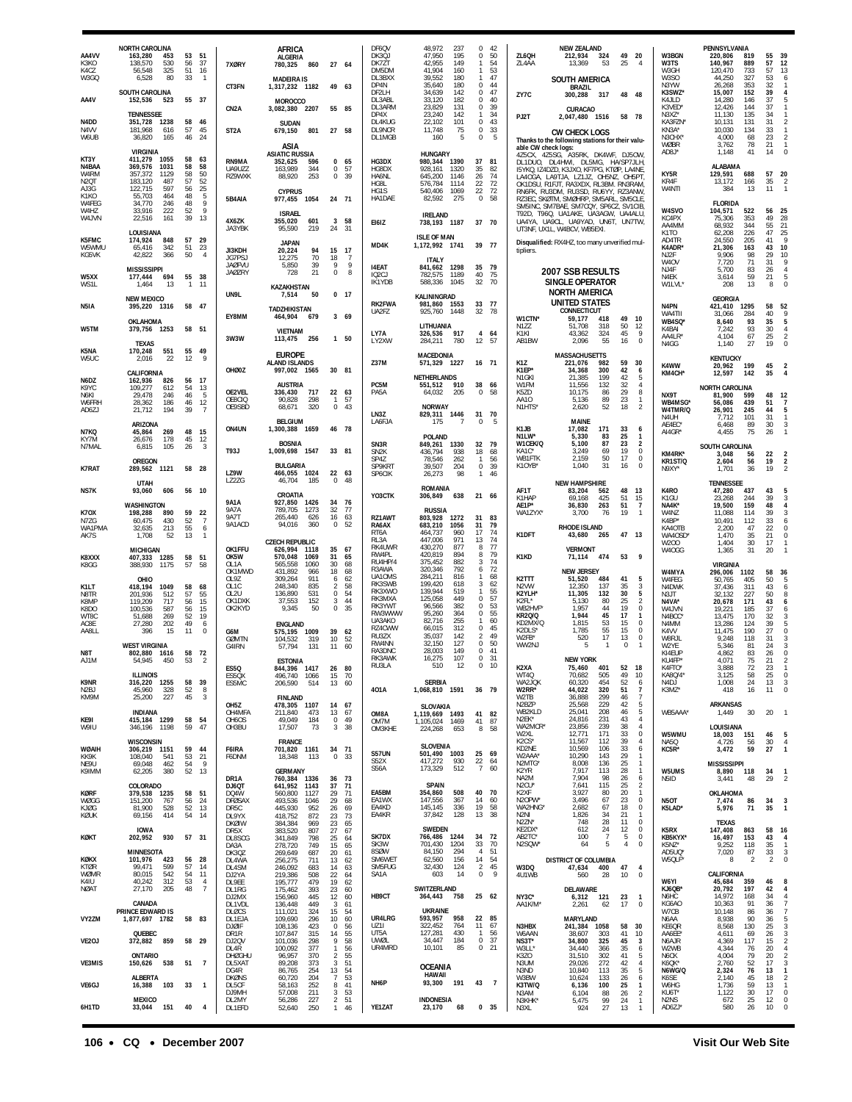| AA4VV<br>K3KO<br>K4C7<br>W3GQ                              | <b>NORTH CAROLINA</b><br>453<br>163.280<br>530<br>138.570<br>325<br>56.548<br>6,528<br>80                                     | 53<br>51<br>56<br>37<br>51<br>16<br>33<br>$\overline{1}$                     | 7XØRY<br>CT3FN                                     | <b>AFRICA</b><br>ALGERIA<br>780,325<br>860<br><b>MADEIRA IS</b><br>1.317.232 1182                              | 27 64<br>49 63                                                   | DF6QV<br>DK3QJ<br>DK7ZT<br>DM5DM<br>DL3BXX<br>DP4N   | 48,972<br>237<br>47.950<br>195<br>42,955<br>149<br>41,904<br>160<br>39,552<br>180<br>180<br>35,640                             | 0<br>42<br>$\bf 0$<br>50<br>54<br>$\mathbf{1}$<br>53<br>$\mathbf{1}$<br>$\mathbf{1}$<br>47<br>$\mathbf 0$<br>-44 | <b>NEW ZEALAND</b><br>ZL6OH<br>212,934<br>324<br>49<br>20<br>ZL4AA<br>13,369<br>53<br>25<br>$\overline{4}$<br><b>SOUTH AMERICA</b><br><b>BRAZIL</b>                                                                                                                                 | W3BGN<br>W3TS<br>W3GH<br>W3SO<br>N3YW                                            | PENNSYLVANIA<br>220,806<br>819<br>140,967<br>889<br>733<br>120,470<br>44,250<br>327<br>353<br>26,268 | $\begin{array}{c} 39 \\ 12 \end{array}$<br>55<br>57<br>57<br>13<br>53<br>6<br>$32\,$<br>$\overline{1}$               |
|------------------------------------------------------------|-------------------------------------------------------------------------------------------------------------------------------|------------------------------------------------------------------------------|----------------------------------------------------|----------------------------------------------------------------------------------------------------------------|------------------------------------------------------------------|------------------------------------------------------|--------------------------------------------------------------------------------------------------------------------------------|------------------------------------------------------------------------------------------------------------------|-------------------------------------------------------------------------------------------------------------------------------------------------------------------------------------------------------------------------------------------------------------------------------------|----------------------------------------------------------------------------------|------------------------------------------------------------------------------------------------------|----------------------------------------------------------------------------------------------------------------------|
| AA4V                                                       | SOUTH CAROLINA<br>152,536<br>523                                                                                              | 55 37                                                                        | CN <sub>2</sub> A                                  | <b>MOROCCO</b><br>3,082,380 2207                                                                               | 55 85                                                            | DF2LH<br>DL3ABI<br>DL3ARM                            | 34,639<br>142<br>182<br>33,120<br>23,829<br>131                                                                                | 0<br>47<br>40<br>$\Omega$<br>$\mathbf 0$<br>39                                                                   | ZY7C<br>300,288<br>317<br>48 48                                                                                                                                                                                                                                                     | K3SWZ<br>K4JLD<br>K3VED'                                                         | 152<br>15,007<br>14,280<br>146<br>12,426<br>144                                                      | 39<br>$\overline{4}$<br>37<br>5<br>37<br>$\overline{1}$                                                              |
| N4DD<br>N <sub>4</sub> VV<br>W6UB                          | <b>TENNESSEE</b><br>351,728<br>1238<br>181,968<br>616<br>36,820<br>165                                                        | 58<br>46<br>57<br>45<br>46<br>24                                             | ST <sub>2</sub> A                                  | SUDAN<br>679,150<br>801<br>ASIA                                                                                | 27 58                                                            | DP4X<br>DL4KUG<br>DL9NCR<br>DL1MGB                   | 23,240<br>142<br>101<br>22,102<br>75<br>11,748<br>160<br>-5                                                                    | 34<br>$\mathbf{1}$<br>$\mathbf 0$<br>43<br>$\bf{0}$<br>33<br>$\mathbf 0$<br>-5                                   | CURACAO<br>PJ2T<br>2,047,480 1516<br>58 78<br><b>CW CHECK LOGS</b><br>Thanks to the following stations for their valu-<br>able CW check logs:                                                                                                                                       | N3XZ*<br>KA3FZN'<br>KN3A*<br>N3CHX*<br>WØBR                                      | 135<br>11,130<br>10,131<br>131<br>10,030<br>134<br>4,000<br>68<br>3,762<br>78                        | 34<br>$\overline{1}$<br>31<br>$\overline{2}$<br>33<br>$\overline{1}$<br>23<br>$\overline{2}$<br>21<br>$\overline{1}$ |
| KT3Y<br>N4BAA<br>W4RM<br>N <sub>2</sub> QT<br>AJ3G<br>K1KO | <b>VIRGINIA</b><br>411,279<br>1055<br>369.576<br>1031<br>357.372<br>1129<br>183.120<br>487<br>597<br>122,715<br>55,703<br>464 | 58<br>63<br>58<br>58<br>50<br>58<br>52<br>57<br>25<br>56<br>$\sqrt{5}$<br>48 | RN9MA<br>UA9UZZ<br>RZ9WXK<br>5B4AIA                | <b>ASIATIC RUSSIA</b><br>352,625<br>596<br>344<br>163,989<br>253<br>88,920<br><b>CYPRUS</b><br>977,455<br>1054 | 0 <sub>65</sub><br>0<br>57<br>$\mathbf 0$<br>39<br>24 71         | HG3DX<br>HG8DX<br>HA6NL<br>HG8L<br>HG1S<br>HA1DAE    | <b>HUNGARY</b><br>980,344<br>1390<br>928,161<br>1320<br>645,200<br>1146<br>1114<br>576,784<br>540,406<br>1069<br>82,592<br>275 | 37<br>- 81<br>35<br>82<br>26<br>74<br>72<br>22<br>22<br>72<br>58<br>$^{\circ}$                                   | 4Z5CX, 4Z5SG, A35RK, DK4WF, DJ5OW,<br>DL1DUO, DL4HWI, DL5MG, HA/SP7JLH,<br>I5YKQ, IZ4DZD, K3JXO, KF7PG, KTØP, LA4NE,<br>LA4OGA, LA9TJA, LZ1JZ, OH5NZ, OH5PT,<br>OK1DSU, R1FJT, RA3XDX, RL3BM, RN3RAM<br>RN6FK, RU3DM, RU3SD, RU6YY, RZ3ANW,<br>RZ3EC, SKØTM, SMØHRP, SM5ARL, SM5CLE | AD8J'<br>KY5R<br>KR4F<br>W4NTI                                                   | 1,148<br>41<br><b>ALABAMA</b><br>129,591<br>688<br>13,172<br>166<br>13<br>384                        | 14<br>$\mathbf 0$<br>57<br>20<br>35<br>$\overline{2}$<br>11                                                          |
| W4FEG<br>W4HZ<br>W4JVN                                     | 34,770<br>246<br>222<br>33,916<br>22,516<br>161                                                                               | $\overline{9}$<br>48<br>9<br>52<br>39<br>13                                  | 4X6ZK                                              | ISRAEL<br>601<br>355,020                                                                                       | $\overline{\mathbf{3}}$<br>-58                                   | <b>EI6IZ</b>                                         | <b>IRELAND</b><br>738,193 1187                                                                                                 | 37 70                                                                                                            | SM5INC, SM7BAE, SM7CQY, SP6CZ, SV1CIB<br>T92D, T96Q, UA1AKE, UA3AGW, UA4ALU<br>UA4YA, UA9CL, UA9YAD, UN6T, UN7TW,                                                                                                                                                                   | W4SVO<br>KC4PX                                                                   | <b>FLORIDA</b><br>104,571<br>522<br>75,306<br>353                                                    | 25<br>56<br>49<br>28                                                                                                 |
| K5FMC<br><b>W5WMU</b><br>KG5VK                             | LOUISIANA<br>174,924<br>848<br>342<br>65,416<br>366<br>42.822                                                                 | 57<br>-29<br>51<br>23<br>50<br>$\overline{4}$                                | JA3YBK<br>JI3KDH<br><b>JG7PSJ</b>                  | 95,590<br>219<br><b>JAPAN</b><br>94<br>20,224<br>70<br>12,275                                                  | 24<br>31<br>15 17<br>18<br>-7                                    | MD4K                                                 | <b>ISLE OF MAN</b><br>1,172,992 1741<br><b>ITALY</b>                                                                           | 39 77                                                                                                            | UT3NF, UX1L, W4BCV, WB5EXI.<br>Disqualified: RX4HZ, too many unverified mul-<br>tipliers.                                                                                                                                                                                           | AA4MM<br>K <sub>1</sub> TO<br>AD4TR<br><b>K4ADR</b><br>NJ2F<br>W <sub>4</sub> OV | 344<br>68,932<br>226<br>62,208<br>24,550<br>205<br>21,306<br>163<br>9,906<br>98<br>7.720<br>71       | 21<br>55<br>47<br>25<br>9<br>41<br>43<br>10<br>29<br>10<br>31<br>9                                                   |
| W5XX<br>WS1L                                               | <b>MISSISSIPPI</b><br>177,444<br>694<br>1,464<br>13                                                                           | 55 38<br>$\mathbf{1}$<br>11                                                  | <b>JAØFVU</b><br><b>JAØZRY</b>                     | 39<br>5,850<br>21<br>728<br><b>KAZAKHSTAN</b>                                                                  | 9<br>9<br>$\mathbf 0$<br>8                                       | <b>I4EAT</b><br>IQ <sub>2</sub> CJ<br>IK1YDB         | 1298<br>841,662<br>782,575<br>1189<br>1045<br>588,336                                                                          | 35<br>- 79<br>40<br>75<br>32<br>- 70                                                                             | 2007 SSB RESULTS<br><b>SINGLE OPERATOR</b>                                                                                                                                                                                                                                          | NJ4F<br>N4EK<br>W1LVL'                                                           | 5,700<br>83<br>59<br>3,614<br>208<br>13                                                              | 26<br>$\overline{4}$<br>21<br>-5<br>8<br>$\Omega$                                                                    |
| N5IA                                                       | <b>NEW MEXICO</b><br>395,220<br>1316                                                                                          | 58 47                                                                        | UN9L                                               | 7,514<br>50<br>TADZHIKISTAN                                                                                    | 0 <sub>17</sub>                                                  | <b>RK2FWA</b><br>UA2FZ                               | KALININGRAD<br>981,860<br>1553<br>925,760<br>1448                                                                              | - 77<br>33<br>32<br>78                                                                                           | NORTH AMERICA<br>UNITED STATES<br>CONNECTICUT                                                                                                                                                                                                                                       | N4PN                                                                             | <b>GEORGIA</b><br>421,410<br>1295                                                                    | 58<br>52                                                                                                             |
| W5TM                                                       | OKLAHOMA<br>379,756<br>1253                                                                                                   | 58 51                                                                        | EY8MM                                              | 464,904<br>679<br><b>VIFTNAM</b>                                                                               | 369                                                              | LY7A                                                 | LITHUANIA<br>917<br>326.536                                                                                                    | $\overline{4}$<br>64                                                                                             | W1CTN*<br>59,177<br>418<br>49<br>10<br>N1ZZ<br>51,708<br>318<br>50<br>12<br>9<br>K <sub>1</sub> K <sub>1</sub><br>43,362<br>324<br>45                                                                                                                                               | WA4TII<br>WB4SQ*<br>K4BAI<br>AA4LR'                                              | 31,066<br>284<br>93<br>8,640<br>93<br>7,242<br>67<br>4,104                                           | 40<br>9<br>35<br>5<br>30<br>$\overline{4}$<br>25<br>$\overline{2}$                                                   |
| K5NA<br>W5UC                                               | <b>TEXAS</b><br>170,248<br>551<br>2,016<br>22                                                                                 | 55 49<br>9<br>12                                                             | 3W3W                                               | 113,475<br>256<br><b>EUROPE</b><br><b>ALAND ISLANDS</b>                                                        | 1 50                                                             | LY2XW<br>Z37M                                        | 780<br>284.211<br>MACEDONIA                                                                                                    | 12<br>57<br>16 71                                                                                                | AB1BW<br>2,096<br>55<br>16<br>$\mathbf 0$<br><b>MASSACHUSETTS</b><br>K <sub>1</sub> Z<br>59<br>30<br>221,076<br>982                                                                                                                                                                 | N4GG                                                                             | 27<br>1,140<br><b>KENTUCKY</b>                                                                       | 19<br>$\mathbf 0$                                                                                                    |
| N6DZ<br>K9YC                                               | <b>CALIFORNIA</b><br>162,936<br>826<br>612<br>109.277                                                                         | 56<br>17<br>54<br>13                                                         | OHØ0Z                                              | 997,002 1565<br><b>AUSTRIA</b>                                                                                 | 30 81                                                            | PC5M                                                 | 571,329 1227<br>NETHERLANDS<br>551,512<br>910                                                                                  | 38<br>66                                                                                                         | K1EP*<br>34,368<br>300<br>42<br>6<br>5<br>42<br>N <sub>1</sub> GKI<br>21,385<br>199<br>W1FM<br>132<br>11,556<br>32<br>$\overline{4}$                                                                                                                                                | K4WW<br>KM4CH*                                                                   | 20,962<br>199<br>12,597<br>142<br><b>NORTH CAROLINA</b>                                              | 45<br>35                                                                                                             |
| N6KI<br>W6FRH<br>AD6ZJ                                     | 29.478<br>246<br>186<br>28.362<br>21,712<br>194                                                                               | 46<br>-5<br>12<br>46<br>39<br>$\overline{7}$                                 | OE2VEL<br>OE8CIQ<br>OE9SBD                         | 717<br>336,430<br>90,828<br>298<br>68,671<br>320                                                               | 22<br>- 63<br>57<br>$\mathbf{1}$<br>$\mathbf 0$<br>43            | PA5A<br>LN3Z                                         | 64,032<br>205<br><b>NORWAY</b><br>829.311 1446                                                                                 | $\mathbf 0$<br>58<br>31 70                                                                                       | K5ZD<br>29<br>8<br>10.175<br>86<br>AA10<br>5,136<br>89<br>23<br>$\overline{1}$<br>$\overline{2}$<br>52<br>N <sub>1</sub> HTS<br>2,620<br>18                                                                                                                                         | NX9T<br>WB4MSG*<br>W4TMR/Q                                                       | 81,900<br>599<br>439<br>56,086<br>26,901<br>245                                                      | 48<br>12<br>$\overline{7}$<br>51<br>44<br>5                                                                          |
| N7KQ<br>KY7M                                               | <b>ARIZONA</b><br>269<br>45,864<br>26,676<br>178                                                                              | 48<br>15<br>45<br>12                                                         | ON4UN                                              | <b>BELGIUM</b><br>1,300,388<br>1659                                                                            | 46 78                                                            | LA6FJA                                               | 175<br><b>POLAND</b>                                                                                                           | $\mathbf 0$<br>-5                                                                                                | <b>MAINE</b><br>K1JB<br>17,082<br>171<br>33<br>6<br>N1LW*<br>25<br>$\overline{1}$<br>5,330<br>83                                                                                                                                                                                    | N4UH<br>AE4EC*<br>AI4GR'                                                         | 7,712<br>101<br>6,468<br>89<br>75<br>4,455                                                           | 31<br>$\mathbf{1}$<br>30<br>3<br>26                                                                                  |
| N7MAL                                                      | 6,815<br>105<br>OREGON                                                                                                        | $\overline{3}$<br>26                                                         | T93J                                               | <b>BOSNIA</b><br>1,009,698 1547                                                                                | 33 81                                                            | SN <sub>3R</sub><br>SN <sub>2</sub> K<br><b>SP47</b> | 1330<br>849,261<br>436,794<br>938<br>78,546<br>262                                                                             | 32<br>- 79<br>18<br>68<br>56<br>$\mathbf{1}$                                                                     | W1CEK/Q<br>5,100<br>87<br>23<br>$\overline{2}$<br>3,249<br>69<br>19<br>0<br>KA1C'<br>WB1FTK<br>17<br>$\mathbb O$<br>2.159<br>50                                                                                                                                                     | KM4RK*<br>KR1ST/Q                                                                | <b>SOUTH CAROLINA</b><br>3,048<br>56<br>56<br>2,604                                                  | 22<br>$\overline{2}$<br>$\overline{2}$<br>19                                                                         |
| K7RAT<br><b>NS7K</b>                                       | 289,562 1121<br><b>UTAH</b><br>93,060<br>606                                                                                  | 58 28<br>56 10                                                               | LZ9W<br>LZ2ZG                                      | BULGARIA<br>466,055<br>1024<br>46,704<br>185                                                                   | 22<br>- 63<br>$\bf{0}$<br>48                                     | SP9KRT<br>SP <sub>6</sub> CIK                        | 39,507<br>204<br>98<br>26,273<br><b>ROMANIA</b>                                                                                | $\circ$<br>39<br>$\mathbf{1}$<br>46                                                                              | K10YB'<br>1,040<br>31<br>16<br>0<br><b>NEW HAMPSHIRE</b><br>AF1T<br>48<br>13<br>83,204<br>562                                                                                                                                                                                       | N9XY*<br>K4RO                                                                    | 1,701<br>36<br><b>TENNESSEE</b><br>47,280<br>437                                                     | 19<br>$\overline{2}$<br>43<br>5                                                                                      |
| <b>K70X</b>                                                | WASHINGTON<br>198,288<br>890                                                                                                  | 22<br>59                                                                     | <b>9A1A</b><br><b>9A7A</b>                         | CROATIA<br>927,850<br>1426<br>789,705<br>1273                                                                  | 34 76<br>32<br>77                                                | YO3CTK                                               | 306,849<br>638<br>RUSSIA                                                                                                       | 21 66                                                                                                            | K1HAP<br>69,168<br>425<br>51<br>15<br>AE1P*<br>51<br>263<br>$\overline{7}$<br>36,830<br>WA1ZYX*<br>3,700<br>76<br>19<br>$\overline{1}$                                                                                                                                              | K <sub>1GU</sub><br>NA4K*<br>W4NZ                                                | 244<br>23.268<br>19,500<br>159<br>11,088<br>114                                                      | 39<br>$\mathcal{R}$<br>48<br>4<br>39<br>$\mathbf{3}$                                                                 |
| N7ZG<br>WA1PMA<br>AK7S                                     | 60,475<br>430<br>213<br>32,635<br>1,708<br>52                                                                                 | 52<br>$\overline{7}$<br>55<br>6<br>13<br>$\overline{1}$                      | <b>9A7T</b><br>9A1ACD                              | 265,440<br>626<br>94,016<br>360                                                                                | 16<br>63<br>$\mathbf 0$<br>52                                    | RZ1AWT<br>RA6AX<br>RT <sub>6</sub> A<br><b>RI 3A</b> | 1272<br>803,928<br>683,210<br>1056<br>464,737<br>960<br>447,006<br>971                                                         | 83<br>31<br>79<br>31<br>17<br>74<br>74<br>13                                                                     | RHODE ISLAND<br>K1DFT<br>43,680<br>265<br>47 13                                                                                                                                                                                                                                     | K4BP*<br>KA4OTB<br>WA4OSD*                                                       | 10,491<br>112<br>2,200<br>47<br>35<br>1,470                                                          | 33<br>6<br>22<br>$\Omega$<br>21<br>0                                                                                 |
| K8XXX<br>K8GG                                              | <b>MICHIGAN</b><br>407,333 1285<br>388,930<br>1175                                                                            | 58<br>51<br>57<br>58                                                         | OK1FFU<br>OK5W<br>OL <sub>1</sub> A                | <b>CZECH REPUBLIC</b><br>626,994<br>1118<br>570.048<br>1069<br>565,558<br>1060                                 | 35 67<br>31<br>65<br>30<br>68                                    | RK4UWR<br>RW4PI<br>RU4HP/4                           | 430,270<br>877<br>420,819<br>894<br>375,452<br>882                                                                             | 77<br>8<br>8<br>79<br>3<br>74                                                                                    | <b>VERMONT</b><br>K1KD<br>9<br>474<br>53<br>71.114                                                                                                                                                                                                                                  | W200<br>W4OGG                                                                    | 1,404<br>30<br>31<br>1,365<br><b>VIRGINIA</b>                                                        | 17<br>$\mathbf{1}$<br>20                                                                                             |
| K1LT<br>N8TR                                               | OHIO<br>418,194<br>1049<br>512<br>201.936                                                                                     | 58<br>68<br>57                                                               | OK1MWD<br>OL9Z<br>OL1C<br>OL2U                     | 431.892<br>966<br>309,264<br>911<br>248,340<br>835<br>136,890<br>531                                           | 18<br>68<br>62<br>6<br>$\overline{2}$<br>58<br>$\mathsf 0$<br>54 | R3AWA<br>UA10MS<br>RK3SWB<br>RK3XWO                  | 320,346<br>792<br>284,211<br>816<br>199,420<br>618<br>139,944<br>519                                                           | 72<br>6<br>$\mathbf{1}$<br>68<br>62<br>3<br>55<br>$\mathbf{1}$                                                   | <b>NEW JERSEY</b><br>K2TTT<br>51,520<br>484<br>41<br>5<br>3<br>N <sub>2</sub> V <sub>W</sub><br>12,350<br>137<br>35<br>5<br>K2YLH*<br>11,305<br>132<br>30                                                                                                                           | W4MYA<br><b>W4FEG</b><br>N4DWK<br>N3JT                                           | 1102<br>296,006<br>50,765<br>405<br>37,436<br>311<br>32.132<br>227                                   | 58<br>36<br>50<br>-5<br>43<br>6<br>50<br>8                                                                           |
| K8MP<br>K8DO<br>WT8C                                       | 717<br>119.209<br>100.536<br>587<br>269<br>51.688                                                                             | 55<br>56<br>15<br>56<br>15<br>52<br>19                                       | OK1DXK<br>OK2KYD                                   | 37,553<br>152<br>9,345<br>50                                                                                   | 44<br>3<br>$\mathsf 0$<br>35                                     | RK3MXA<br>RK3YWT<br>RW3WWW                           | 125,058<br>449<br>382<br>96,566<br>95,260<br>364                                                                               | 57<br>$\mathbf 0$<br>53<br>0<br>55<br>$\mathbf 0$                                                                | $\overline{2}$<br>K2FL'<br>5,130<br>80<br>25<br>$\mathbb O$<br>WB2HVF<br>1,957<br>44<br>19<br><b>KR20/0</b><br>45<br>1,944<br>17<br>1                                                                                                                                               | N4VA*<br>W4JVN<br>N4BCC <sup>®</sup>                                             | 20,678<br>171<br>185<br>19.221<br>13,475<br>170                                                      | 43<br>6<br>37<br>6<br>32<br>3                                                                                        |
| AC8F<br>AA8LL                                              | 202<br>27,280<br>396<br>15                                                                                                    | 49<br>6<br>11<br>$\mathbf 0$                                                 | G6M<br><b>GØMTN</b>                                | <b>ENGLAND</b><br>575,195<br>1009<br>104,532<br>319                                                            | 39<br>62<br>10<br>52                                             | UA3AKO<br>RZ4CWW<br>RU3ZX<br>RW4NN                   | 82,716<br>255<br>312<br>66,015<br>35.037<br>142<br>32,150<br>127                                                               | $\mathbf{1}$<br>60<br>$\mathbf 0$<br>45<br>$\overline{2}$<br>49<br>0<br>50                                       | KD2MX/Q<br>1,815<br>53<br>15<br>0<br>55<br>K2DLS'<br>1,785<br>15<br>$\mathbf{0}$<br>W2FB*<br>17<br>$\mathbb O$<br>520<br>13                                                                                                                                                         | N4MM<br>K4VV<br>W8RJL                                                            | 13,286<br>124<br>190<br>11,475<br>9,248<br>118                                                       | 39<br>5<br>27<br>$\Omega$<br>31<br>3                                                                                 |
| N8T<br>AJ1M                                                | <b>WEST VIRGINIA</b><br>802,880<br>- 1616<br>54,945<br>450                                                                    | 58<br>72<br>53<br>$\mathcal{P}$                                              | G4IRN<br><b>ES50</b>                               | 57,794<br>131<br><b>ESTONIA</b><br>844,396<br>1417                                                             | 11<br>60<br>26<br>80                                             | RA3DNC<br>RK3AWK<br>RU3LA                            | 149<br>28,003<br>16,275<br>107<br>510                                                                                          | 41<br>$\Omega$<br>0<br>31<br>0<br>10                                                                             | WW2NJ<br>0<br>1<br>$\mathbf{1}$<br><b>NEW YORK</b><br>K2XA<br>75,460<br>401<br>52<br>18                                                                                                                                                                                             | W2YE<br>KI4EUP<br>KU4FP*<br>K4FTO*                                               | 5,346<br>81<br>83<br>4,862<br>4,071<br>75<br>72<br>3,888                                             | 24<br>3<br>26<br>$\Omega$<br>21<br>$\mathfrak{p}$<br>23<br>$\mathbf{1}$                                              |
| K9NR<br>N <sub>2</sub> BJ<br>KM9M                          | <b>ILLINOIS</b><br>316,220 1255<br>45,960<br>328<br>25,200<br>227                                                             | 58<br>- 39<br>52<br>8<br>3<br>45                                             | ES50X<br>ES5MC<br>OH <sub>5</sub> Z                | 496,740<br>1066<br>206,590<br>514<br><b>FINLAND</b><br>478,305<br>1107                                         | 15<br>70<br>13<br>60<br>14 67                                    | 401A                                                 | <b>SERBIA</b><br>1.068.810 1591<br><b>SLOVAKIA</b>                                                                             | 36 79                                                                                                            | WT4Q<br>70,682<br>505<br>49<br>10<br>454<br>WA2JQK<br>60,320<br>52<br>6<br>44,022<br>W2RR*<br>320<br>51<br>$\overline{7}$<br>299<br>$\overline{7}$<br>W2TB<br>36,888<br>46<br>5<br>N <sub>2</sub> B <sub>ZP</sub><br>25,568<br>229<br>42                                            | KA8Q/4*<br>N4DJ<br>K3MZ*                                                         | 58<br>3,125<br>24<br>1,008<br>418<br>16<br><b>ARKANSAS</b>                                           | 25<br>$\mathbf 0$<br>13<br>3<br>11<br>$\mathbf{0}$                                                                   |
| KE91<br>W9IU                                               | <b>INDIANA</b><br>415.184 1299<br>346,196<br>1198                                                                             | 58<br>54<br>59<br>47                                                         | OH4MFA<br>OH6OS<br>OH3BU                           | 211,840<br>473<br>49,049<br>184<br>17,507<br>73                                                                | 13<br>67<br>$\bf{0}$<br>49<br>3<br>- 38                          | OM8A<br>OM7M<br>OM3KHE                               | 1,119,669 1493<br>1,105,024 1469<br>224,268<br>653                                                                             | 41<br>82<br>41<br>87<br>8<br>58                                                                                  | 5<br>WB2KLD<br>25,041<br>208<br>46<br>N2EK*<br>24,816<br>231<br>43<br>$\overline{4}$<br>WA2MCR*<br>23,856<br>239<br>38<br>$\overline{4}$                                                                                                                                            | WB5AAA*                                                                          | 1,449<br>30<br>LOUISIANA                                                                             | 20<br>$\overline{1}$                                                                                                 |
| <b>WØAIH</b><br>KK9K<br>NE9U<br>K9IMM                      | WISCONSIN<br>306,219 1151<br>108,040<br>541<br>69,048<br>462<br>62,205<br>380                                                 | 59<br>44<br>21<br>53<br>9<br>54<br>52<br>-13                                 | F6IRA<br>F6DNM                                     | <b>FRANCE</b><br>701,820 1161<br>18,348<br>113<br><b>GERMANY</b>                                               | 34<br>- 71<br>$\mathbf 0$<br>33                                  | <b>S57UN</b><br><b>S52X</b><br>S56A                  | <b>SLOVENIA</b><br>501,490<br>1003<br>417,272<br>930<br>512<br>173,329                                                         | 25<br>-69<br>22<br>64<br>$\overline{7}$<br>60                                                                    | W2XL<br>12,771<br>171<br>33<br>$\mathbf 0$<br>K <sub>2</sub> CS*<br>11,567<br>112<br>39<br>4<br>KD2NE<br>10,569<br>106<br>33<br>6<br>W2AAA<br>10,290<br>143<br>29<br>1<br>N2MTG<br>25<br>8,008<br>136<br>$\mathbf{1}$<br>K2YR<br>7,917<br>28<br>113<br>$\overline{1}$               | W5WMU<br>NA5Q<br>KC5R*<br>W5UMS                                                  | 18,003<br>151<br>4,726<br>56<br>59<br>3,472<br><b>MISSISSIPPI</b><br>8,890<br>118                    | 46<br>5<br>30<br>$\overline{4}$<br>27<br>$\overline{1}$<br>34<br>$\mathbf{1}$                                        |
| <b>KØRF</b>                                                | COLORADO<br>379,538<br>1235                                                                                                   | 58<br>51                                                                     | DR <sub>1</sub> A<br>DJ6QT<br>DQ4W                 | 760,384<br>1336<br>641,952<br>1143<br>560,800<br>1127                                                          | 36<br>73<br>37<br>71<br>29<br>71                                 | EA5BM                                                | <b>SPAIN</b><br>354,860<br>508                                                                                                 | 40 70                                                                                                            | NA2M<br>7,904<br>98<br>26<br>6<br>N2CU*<br>7,641<br>115<br>25<br>$\overline{2}$<br>K2XF<br>3,927<br>80<br>20<br>$\overline{1}$                                                                                                                                                      | N5ID                                                                             | 48<br>3,441<br>OKLAHOMA                                                                              | 29<br>$\overline{2}$                                                                                                 |
| WØGG<br>KJØG<br>KØUK                                       | 151,200<br>767<br>81,900<br>528<br>414<br>69,156                                                                              | 24<br>56<br>52<br>13<br>54<br>14                                             | <b>DFØSAX</b><br>DR5C<br>DL9YX                     | 493,536<br>1046<br>445,930<br>952<br>418,752<br>872                                                            | 29<br>68<br>26<br>69<br>73<br>23                                 | EA1WX<br>EA4KD<br>EA4KR                              | 147,556<br>367<br>336<br>145,145<br>37,842<br>128                                                                              | 14<br>60<br>19<br>58<br>13<br>38                                                                                 | N2OPW*<br>3,496<br>67<br>23<br>$\mathbf 0$<br>WA2HNG*<br>$\mathbf 0$<br>2,682<br>67<br>18<br>N2NI<br>1,826<br>34<br>21<br>$\mathbf{1}$<br>N2ZN*<br>28<br>$\mathbf 0$<br>748<br>11                                                                                                   | N5OT<br>K5LAD*                                                                   | 7,474<br>86<br>5,976<br>71<br><b>TEXAS</b>                                                           | 34<br>3<br>35<br>$\overline{1}$                                                                                      |
| KØKT                                                       | <b>IOWA</b><br>202,952<br>930                                                                                                 | 57 31                                                                        | <b>DKØIW</b><br>DR5X<br><b>DL8SCG</b><br>DA3A      | 384,384<br>969<br>383,520<br>807<br>341,849<br>798<br>278,720<br>749                                           | 23<br>65<br>27<br>67<br>25<br>64<br>15<br>65                     | SK7DX<br>SK3W                                        | <b>SWEDEN</b><br>766,486 1244<br>701,430<br>1204                                                                               | 34<br>- 72<br>33<br>70                                                                                           | KE2DX*<br>612<br>24<br>12<br>$\mathbf 0$<br>$\mathbf 0$<br>AB2TC'<br>100<br>7<br>5<br>N2SQW*<br>64<br>5<br>4<br>0                                                                                                                                                                   | K5RX<br>KB5KYX*<br>K5N7'                                                         | 147,408<br>863<br>16,497<br>153<br>9,252<br>118                                                      | 58<br>16<br>43<br>$\overline{4}$<br>$\overline{1}$<br>35                                                             |
| KØKX<br><b>KTØR</b>                                        | <b>MINNESOTA</b><br>423<br>101,976<br>99,471<br>599                                                                           | 28<br>56<br>57<br>14                                                         | DK3QZ<br>DL4WA<br>DL4SM                            | 269,649<br>687<br>256,275<br>711<br>246,092<br>683                                                             | 20<br>61<br>13<br>62<br>14<br>63                                 | 8SØW<br>SM6WET<br>SM5FUG<br>SA1A                     | 294<br>84,150<br>156<br>62,560<br>32,430<br>124<br>14<br>603                                                                   | 51<br>$\overline{4}$<br>14<br>54<br>$\overline{2}$<br>45<br>$\mathbb O$<br>9                                     | DISTRICT OF COLUMBIA<br>W3DQ<br>47<br>47,634<br>400<br>$\overline{4}$                                                                                                                                                                                                               | AD5UQ<br>W5QLF'                                                                  | 87<br>7,020<br>8<br>2                                                                                | 33<br>3<br>$\mathbf 0$<br>$\overline{2}$                                                                             |
| WØMR<br>K4IU<br><b>NØAT</b>                                | 542<br>80,015<br>312<br>40,242<br>27,170<br>205                                                                               | 54<br>11<br>53<br>$\overline{4}$<br>$\overline{7}$<br>48                     | DJ2YA<br>DL9EE<br>DL1RG<br>DJ2MX                   | 219,386<br>508<br>195,777<br>479<br>175,462<br>393<br>156,960<br>445                                           | 22<br>64<br>19<br>62<br>23<br>60<br>12<br>60                     | HB9CT                                                | SWITZERLAND<br>364,443<br>758                                                                                                  | 25 62                                                                                                            | 4U1WB<br>560<br>28<br>10<br>$\mathbf 0$<br>DELAWARE<br>NY3C*<br>23<br>6,312<br>121<br>$\overline{1}$                                                                                                                                                                                | W6YI<br>KJ6QB'<br>N6HC                                                           | CALIFORNIA<br>45,684<br>359<br>197<br>20,792<br>14,972<br>168                                        | 46<br>8<br>42<br>4<br>34                                                                                             |
| VY2ZM                                                      | CANADA<br><b>PRINCE EDWARD IS</b><br>1,877,697 1782                                                                           | 58 83                                                                        | DL1VDL<br><b>DLØCS</b><br>DL1EJA                   | 136,448<br>449<br>111,021<br>324<br>109,690<br>296                                                             | 3<br>61<br>54<br>15<br>10<br>60                                  | UR4LRG<br>UZ11                                       | <b>UKRAINE</b><br>958<br>593,957<br>322,452<br>764                                                                             | 22 85<br>11<br>67                                                                                                | AA1K/M*<br>17<br>$\mathbf 0$<br>2,261<br>62<br><b>MARYLAND</b>                                                                                                                                                                                                                      | KG6AO<br>W7CB<br>N6AA                                                            | 10,363<br>91<br>10,148<br>86<br>8,938<br>90                                                          | 36<br>$\overline{7}$<br>36<br>36<br>5<br>$\overline{3}$                                                              |
| VE2OJ                                                      | QUEBEC<br>859<br>372,882                                                                                                      | 58 29                                                                        | <b>DJØIF</b><br>DR <sub>1</sub> R<br>DJ2QV<br>DL4R | 108,136<br>423<br>107,847<br>315<br>101,036<br>298<br>100,092<br>377                                           | $^{\circ}$<br>56<br>14<br>55<br>58<br>9<br>56<br>$\mathbf{1}$    | UT5A<br>UWØL<br>UR4MRD                               | 430<br>127,281<br>184<br>34,447<br>85<br>10,101                                                                                | $\overline{1}$<br>56<br>$\mathbf 0$<br>37<br>21<br>$\mathbf{0}$                                                  | N3HBX<br>58<br>241,384<br>1058<br>30<br>W6AAN<br>38,607<br>303<br>41<br>10<br>NS3T*<br>34,800<br>325<br>45<br>3<br>W3LL*<br>34,440<br>366<br>35<br>6                                                                                                                                | KE6QR<br>AA6EE'<br>N6AJR<br>W2WB                                                 | 8,568<br>130<br>4,611<br>69<br>4,369<br>117<br>4,344<br>76                                           | 25<br>26<br>3<br>$15\,$<br>$\overline{\mathbf{c}}$<br>20<br>$\overline{4}$                                           |
| VE3MIS                                                     | <b>ONTARIO</b><br>150,626<br>538                                                                                              | 51<br>$\overline{7}$                                                         | <b>DHØGHU</b><br>DL5XAT<br>DG4R                    | 96,957<br>370<br>89,208<br>373<br>86,765<br>254                                                                | 55<br>$\overline{2}$<br>3<br>51<br>54<br>13                      |                                                      | <b>OCEANIA</b>                                                                                                                 |                                                                                                                  | 31,510<br>5<br>K3ZO<br>302<br>41<br>N3UM<br>29,026<br>272<br>42<br>$\overline{4}$<br>5<br>N3ND<br>10,840<br>113<br>35                                                                                                                                                               | N <sub>6</sub> CK<br>K6QK'<br>N6WG/Q                                             | 4,004<br>79<br>2,760<br>52<br>2,324<br>76                                                            | $20\,$<br>$\overline{2}$<br>17<br>3<br>13<br>$\mathbf{1}$                                                            |
| VE6GJ                                                      | ALBERTA<br>103<br>16,388                                                                                                      | 33<br>$\overline{1}$                                                         | <b>DKØNS</b><br>DL5CF<br>DJ9MH                     | 60,720<br>204<br>58,163<br>252<br>57,008<br>211                                                                | 53<br>$\overline{7}$<br>8<br>41<br>53<br>3                       | NH6P                                                 | HAWAII<br>191<br>93,300                                                                                                        | 43<br>$\overline{7}$                                                                                             | W3BW<br>10,624<br>133<br>26<br>6<br>K3TW/Q<br>6,136<br>100<br>25<br>$\mathbf{1}$<br>$\overline{2}$<br>26<br>N3AM<br>6,104<br>88                                                                                                                                                     | K6SE<br>W6HG<br>KU6T*                                                            | 2,140<br>45<br>1,736<br>59<br>30<br>1,122                                                            | 18<br>$\overline{2}$<br>13<br>$\overline{1}$<br>17<br>$\mathbb O$                                                    |
| 6H1TD                                                      | <b>MEXICO</b><br>33,044<br>151                                                                                                | 40<br>$\overline{4}$                                                         | DL2MY<br>DL1EFD                                    | 56,286<br>227<br>52,640<br>250                                                                                 | $\overline{2}$<br>51<br>$\mathbf{1}$<br>46                       | YE1ZAT                                               | <b>INDONESIA</b><br>23,170<br>68                                                                                               | 0 <sub>35</sub>                                                                                                  | N3KHK*<br>5,475<br>99<br>24<br>$\mathbf{1}$<br>27<br>13<br>N3XL<br>924<br>$\overline{1}$                                                                                                                                                                                            | N2NS<br>AD6ZJ'                                                                   | 25<br>672<br>26<br>580                                                                               | $\,0\,$<br>12<br>10<br>0                                                                                             |

**106 • CQ • December 2007 Visit Our Web Site**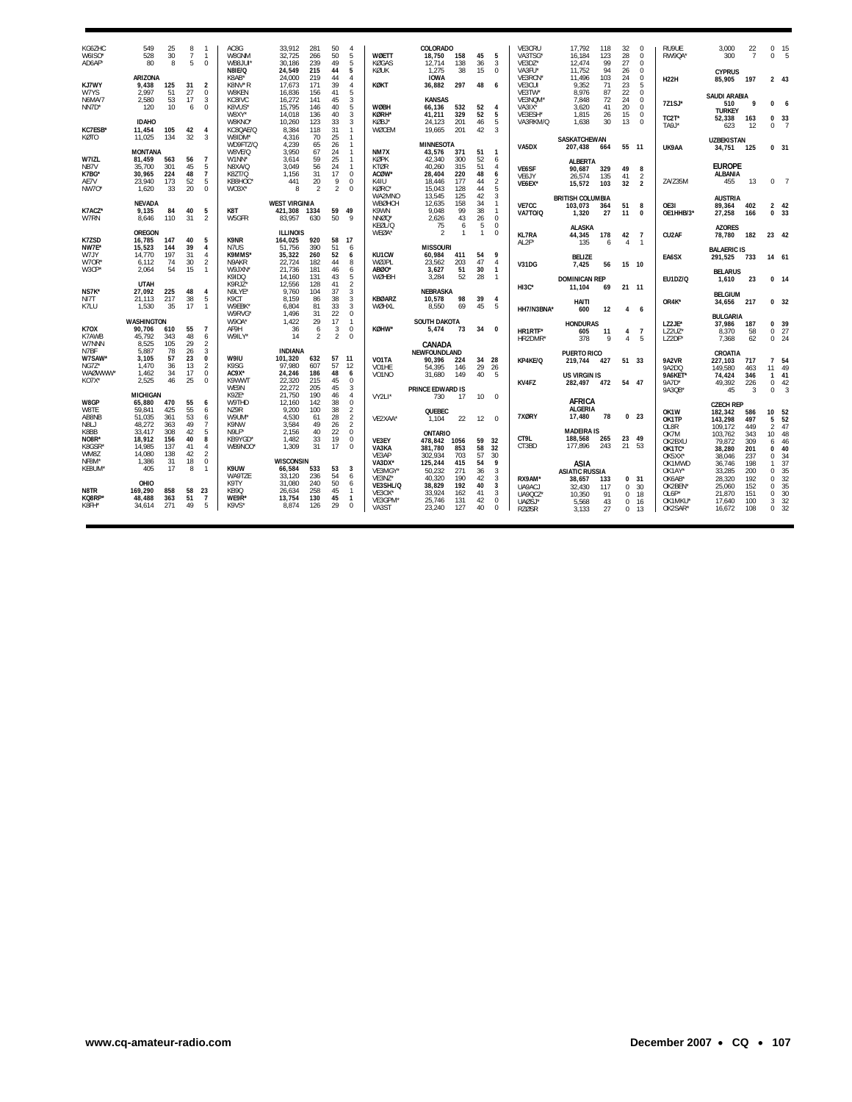| KG6ZHC<br>W6ISO*                    | 549<br>528                 | 25<br>30         | 8<br>$\overline{7}$   | $\mathbf{1}$<br>$\overline{1}$                     | AC8G<br>W8GNM                          | 33.912<br>32.725                    | 281<br>266           | 50<br>50            | $\overline{4}$<br>5                                | <b>WØETT</b>                     | <b>COLORADO</b><br>18.750      | 158                 | 45                | 5                              | VE3CRU<br>VA3TSG                 | 17.792<br>16.184                        | 118<br>123      | 32<br>28                  | $\Omega$<br>$\mathbf 0$                | RU9UE<br>RW90A'            | 3.000<br>300                                | 22<br>$\overline{7}$  | $\mathbf 0$                     | 0, 15<br>$\overline{5}$           |
|-------------------------------------|----------------------------|------------------|-----------------------|----------------------------------------------------|----------------------------------------|-------------------------------------|----------------------|---------------------|----------------------------------------------------|----------------------------------|--------------------------------|---------------------|-------------------|--------------------------------|----------------------------------|-----------------------------------------|-----------------|---------------------------|----------------------------------------|----------------------------|---------------------------------------------|-----------------------|---------------------------------|-----------------------------------|
| AD6AF*                              | 80<br><b>ARIZONA</b>       | 8                | 5                     | $\mathbf 0$                                        | WB8JUI <sup>®</sup><br>N8IE/Q<br>K8AB* | 30.186<br>24,549<br>24,000          | 239<br>215<br>219    | 49<br>44<br>44      | 5<br>5<br>$\overline{4}$                           | KØGAS<br><b>KØUK</b>             | 12.714<br>1,275<br><b>IOWA</b> | 138<br>38           | 36<br>15          | 3<br>$\Omega$                  | VE3DZ*<br>VA3FU*<br>VE3RCN'      | 12.474<br>11,752<br>11,496              | 99<br>94<br>103 | 27<br>26<br>24            | $\mathbf 0$<br>$\Omega$<br>$\mathbf 0$ | <b>H22H</b>                | <b>CYPRUS</b><br>85,905                     | 197                   |                                 | 2, 43                             |
| KJ7WY<br>W7YS                       | 9.438<br>2.997             | 125<br>51        | 31<br>27              | $\overline{2}$<br>$\Omega$                         | K8NV*R<br>W8KEN                        | 17.673<br>16.836                    | 171<br>156           | 39<br>41            | $\overline{4}$<br>5                                | <b>KØKT</b>                      | 36.882                         | 297                 | 48                | 6                              | VE3CUI<br>VE3TW*                 | 9.352<br>8.976                          | 71<br>87        | 23<br>22                  | 5<br>$\Omega$                          |                            |                                             |                       |                                 |                                   |
| N6MA/7<br>NN7D*                     | 2.580<br>120               | 53<br>10         | 17<br>6               | 3<br>$\Omega$                                      | KC8IVC<br>K8VUS'                       | 16.272<br>15,795                    | 141<br>146           | 45<br>40            | 3<br>5                                             | <b>WØBH</b>                      | <b>KANSAS</b><br>66,136        | 532                 | 52                | $\boldsymbol{\Lambda}$         | VE3NOM*<br>VA3IX*                | 7.848<br>3,620                          | 72<br>41        | 24<br>20                  | $\Omega$<br>$\Omega$                   | 7Z1SJ*                     | <b>SAUDI ARABIA</b><br>510<br><b>TURKEY</b> | 9                     | $\mathbf{0}$                    |                                   |
|                                     | <b>IDAHO</b>               |                  |                       |                                                    | W8XY*<br>W8KNO*                        | 14.018<br>10.260                    | 136<br>123           | 40<br>33            | 3<br>3                                             | KØRH*<br>KØBJ*                   | 41,211<br>24.123               | 329<br>201          | 52<br>46          | 5<br>5                         | VE3ESH*<br>VA3RKM/Q              | 1,815<br>1.638                          | 26<br>30        | 15<br>13                  | $\mathbf 0$<br>$\Omega$                | TC2T*<br>TA9J*             | 52.338<br>623                               | 163<br>12             | $\mathbf 0$                     | 0 <sub>33</sub><br>$\overline{7}$ |
| KC7ESB'<br>KØTO                     | 11.454<br>11,025           | 105<br>134       | 42<br>32              | $\overline{4}$<br>$\overline{3}$                   | KC8OAE/O<br>W8IDM*<br>WD9FTZ/Q         | 8.384<br>4.316<br>4.239             | 118<br>70<br>65      | 31<br>25<br>26      | $\overline{1}$<br>$\overline{1}$<br>$\overline{1}$ | WØCEM                            | 19.665<br><b>MINNESOTA</b>     | 201                 | 42                | $\mathcal{R}$                  |                                  | <b>SASKATCHEWAN</b>                     |                 |                           |                                        |                            | <b>UZBEKISTAN</b>                           |                       |                                 |                                   |
| W7IZL                               | <b>MONTANA</b><br>81.459   | 563              | 56                    | $\overline{7}$                                     | W8VE/Q<br>W1NN'                        | 3.950<br>3.614                      | 67<br>59             | 24<br>25            | $\overline{1}$<br>$\overline{1}$                   | NM7X<br><b>KØPK</b>              | 43.576<br>42.340               | 371<br>300          | 51<br>52          | $\overline{1}$<br>6            | VA5DX                            | 207.438                                 | 664             | 55                        | 11                                     | UK9AA                      | 34,751                                      | 125                   |                                 | 0, 31                             |
| NB7V<br>K7BG*                       | 35,700<br>30,965           | 301<br>224       | 45<br>48              | $\overline{5}$<br>$\overline{7}$                   | N8XA/Q<br>K8ZT/Q                       | 3.049<br>1,156                      | 56<br>31             | 24<br>17            | $\overline{1}$<br>$^{\circ}$                       | <b>KTØR</b><br>ACØW <sup>*</sup> | 40,260<br>28,404               | 315<br>220          | 51<br>48          | $\mathbf{A}$<br>6              | VE6SF<br>VF6JY                   | <b>ALBERTA</b><br>90.687                | 329             | 49                        | 8                                      |                            | <b>EUROPE</b><br>ALBANIA                    |                       |                                 |                                   |
| AE7V<br>NW70*                       | 23.940<br>1.620            | 173<br>33        | 52<br>20 <sup>2</sup> | -5<br>$\Omega$                                     | KB8HOC*<br>WO3X*                       | 441<br>8                            | 20<br>$\mathfrak{D}$ | 9<br>$\overline{2}$ | $\Omega$<br>$\Omega$                               | K4IU<br>KØRC*                    | 18.446<br>15.043               | 177<br>128          | 44<br>44          | $\mathcal{I}$<br>5             | VE6EX*                           | 26,574<br>15,572                        | 135<br>103      | 41<br>32                  | $\overline{2}$<br>$\overline{2}$       | ZA/Z35M                    | 455                                         | 13                    | $\mathbf 0$                     | $\overline{7}$                    |
|                                     | <b>NEVADA</b>              |                  |                       |                                                    |                                        | <b>WEST VIRGINIA</b>                |                      |                     |                                                    | WA2MNO<br>WBØHCH                 | 13,545<br>12,635               | 125<br>158          | 42<br>34          | 3<br>$\mathbf{1}$              | VE7CC                            | <b>BRITISH COLUMBIA</b><br>103.073      | 364             | 51                        | 8                                      | OE3I                       | <b>AUSTRIA</b><br>89.364                    | 402                   |                                 | 2, 42                             |
| K7ACZ*<br>W7RN                      | 9.135<br>8.646             | 84<br>110        | 40<br>31              | 5<br>$\overline{2}$                                | K8T<br>W5GFR                           | 421.308<br>83.957                   | 1334<br>630          | 59<br>50            | - 49<br>$\mathsf{Q}$                               | K9WN<br>NNØQ*                    | 9.048<br>2,626                 | 99<br>43            | 38<br>26          | $\overline{1}$<br>$\Omega$     | VA7TO/Q                          | 1,320                                   | 27              | 11                        | $\mathbf{0}$                           | OF1HHB/3*                  | 27.258                                      | 166                   |                                 | 0, 33                             |
| K7ZSD                               | OREGON                     | 147              |                       | 5                                                  | K9NR                                   | <b>ILLINOIS</b>                     |                      | 58                  |                                                    | KEØL/Q<br>WEØA*                  | 75<br>$\overline{2}$           | 6<br>$\overline{1}$ | 5<br>$\mathbf{1}$ | $\mathbf 0$<br>$\Omega$        | <b>KL7RA</b>                     | <b>ALASKA</b><br>44,345                 | 178             | 42                        | $\overline{7}$                         | CU2AF                      | <b>AZORES</b><br>78.780                     | 182                   | 23 42                           |                                   |
| NW7E*<br>W7JY                       | 16.785<br>15.523<br>14,770 | 144<br>197       | 40<br>39<br>31        | $\overline{4}$<br>$\Delta$                         | N7US<br>K9MMS'                         | 164,025<br>51.756<br>35,322         | 920<br>390<br>260    | 51<br>52            | - 17<br>6<br>6                                     | KU1CW                            | <b>MISSOURI</b><br>60,984      | 411                 | 54                | $\mathbf{Q}$                   | AL2F*                            | 135                                     | 6               | 4                         | $\mathbf{1}$                           |                            | <b>BALAERIC IS</b>                          |                       |                                 |                                   |
| W70R*<br>W3CP*                      | 6,112<br>2.064             | 74<br>54         | 30<br>15              | $\overline{2}$<br>$\mathbf{1}$                     | N9AKR<br>W9JXN'                        | 22,724<br>21.736                    | 182<br>181           | 44<br>46            | 8<br>6                                             | WØJPL<br>ABØO*                   | 23,562<br>3,627                | 203<br>51           | 47<br>30          | $\overline{4}$<br>$\mathbf{1}$ | <b>V31DG</b>                     | <b>BELIZE</b><br>7.425                  | 56              | 15 10                     |                                        | EA6SX                      | 291,525<br><b>BELARUS</b>                   | 733                   | 14 61                           |                                   |
|                                     | <b>UTAH</b>                |                  |                       |                                                    | K9IDQ<br>K9RJZ*                        | 14.160<br>12,556                    | 131<br>128           | 43<br>41            | 5<br>$\overline{2}$                                | WØHBH                            | 3.284                          | 52                  | 28                | $\overline{1}$                 | HI3C*                            | <b>DOMINICAN REP</b><br>11,104          | 69              | 21 11                     |                                        | <b>EU1DZ/Q</b>             | 1,610                                       | 23                    |                                 | 0 <sub>14</sub>                   |
| NS7K*<br>NI7T                       | 27.092<br>21.113           | 225<br>217       | 48<br>38              | $\overline{4}$<br>5                                | N9LYE*<br>K9CT                         | 9.760<br>8.159                      | 104<br>86            | 37<br>38            | $\overline{3}$<br>3                                | <b>KBØARZ</b>                    | NEBRASKA<br>10.578             | 98                  | 39                | $\boldsymbol{\Lambda}$         |                                  | <b>HAITI</b>                            |                 |                           |                                        | OR4K*                      | <b>BELGIUM</b><br>34,656                    | 217                   |                                 | 0, 32                             |
| K7LU                                | 1.530                      | 35               | 17                    | $\overline{1}$                                     | W9EBK*<br>W9RVG'                       | 6.804<br>1.496                      | 81<br>31             | 33<br>22            | 3<br>$\Omega$                                      | WØHXL                            | 8.550                          | 69                  | 45                | 5                              | HH7/N3BNA*                       | 600                                     | 12              | 4                         | 6                                      |                            | BULGARIA                                    |                       |                                 |                                   |
| K7OX                                | WASHINGTON<br>90,706       | 610              | 55                    | $\overline{7}$                                     | W9OA'<br>AF9H                          | 1,422<br>36                         | 29<br>6              | 17<br>3             | $\overline{1}$<br>$^{\circ}$                       | KØHW*                            | <b>SOUTH DAKOTA</b><br>5,474   | 73                  | 34                | 0                              | HR1RTF*                          | <b>HONDURAS</b><br>605                  | 11              | 4                         | $\overline{7}$                         | LZ2JE*<br>LZ2UZ'           | 37,986<br>8.370                             | 187<br>58             |                                 | 0, 39<br>$0$ 27                   |
| K7AWB<br>W7NNN                      | 45.792<br>8,525            | 343<br>105       | 48<br>29              | 6<br>$\overline{2}$                                | W9ILY*                                 | 14                                  | $\overline{2}$       | $\overline{2}$      | $\Omega$                                           |                                  | CANADA                         |                     |                   |                                | HR2DMR*                          | 378                                     | Q               | $\Delta$                  | 5                                      | LZ2DF*                     | 7,368                                       | 62                    | $\mathbf 0$                     | 24                                |
| N7BF<br>W7SAW*<br>NG7Z*             | 5.887<br>3.105<br>1.470    | 78<br>57<br>36   | 26<br>23<br>13        | 3<br>$\mathbf{0}$<br>$\overline{2}$                | W9IU<br>K9SG                           | <b>INDIANA</b><br>101.320<br>97.980 | 632<br>607           | 57<br>57            | 11<br>12                                           | VO1TA                            | <b>NEWFOUNDLAND</b><br>90,396  | 224                 | 34                | 28                             | KP4KE/Q                          | <b>PUERTO RICO</b><br>219.744           | 427             | 51 33                     |                                        | 9A2VR                      | <b>CROATIA</b><br>227.103                   | 717                   |                                 | 7 54                              |
| WAØWWW*<br>KO7X*                    | 1.462<br>2,525             | 34<br>46         | 17<br>25              | $\mathbf 0$<br>$\Omega$                            | AC9X*<br>K9WWT                         | 24.246<br>22,320                    | 186<br>215           | 48<br>45            | 6<br>$\Omega$                                      | VO1HE<br>VO <sub>1</sub> NO      | 54.395<br>31.680               | 146<br>149          | 29<br>40          | 26<br>-5                       |                                  | <b>US VIRGIN IS</b>                     |                 |                           |                                        | 9A2DQ<br>9A6KET*           | 149.580<br>74,424                           | 463<br>346            | 11<br>$\mathbf{1}$              | 49<br>41                          |
|                                     | <b>MICHIGAN</b>            |                  |                       |                                                    | WE9N<br>K9ZE*                          | 22.272<br>21.750                    | 205<br>190           | 45<br>46            | 3<br>$\overline{4}$                                | VY2LI*                           | <b>PRINCE EDWARD IS</b><br>730 | 17                  | 10                | $^{\circ}$                     | KV4FZ                            | 282.497                                 | 472             | 54 47                     |                                        | 9A7D*<br>9A3QB*            | 49.392<br>45                                | 226<br>$\overline{3}$ | $\mathbf 0$<br>$\Omega$         | 42<br>$\overline{3}$              |
| W8GP<br>W8TE                        | 65.880<br>59.841           | 470<br>425       | 55<br>55              | 6<br>6                                             | W9THD<br>NZ9R                          | 12.160<br>9.200                     | 142<br>100           | 38<br>38            | $^{\circ}$<br>$\overline{2}$                       |                                  | QUEBEC                         |                     |                   |                                |                                  | AFRICA<br><b>ALGERIA</b>                |                 |                           |                                        | OK <sub>1</sub> W          | <b>CZECH REP</b><br>182,342                 | 586                   | 10 52                           |                                   |
| AB8NB<br>N8LJ                       | 51,035<br>48.272           | 361<br>363       | 53<br>49              | 6<br>$\overline{7}$                                | W9UM<br>K9NW                           | 4,530<br>3.584                      | 61<br>49             | 28<br>26            | $\overline{2}$<br>$\overline{2}$                   | VE2XAA*                          | 1,104                          | 22                  | 12                | $\Omega$                       | 7XØRY                            | 17,480                                  | 78              |                           | 0, 23                                  | OK1TP<br>OL8R              | 143,298<br>109,172                          | 497<br>449            | 5<br>$\overline{2}$             | 52<br>47                          |
| K8BB<br>NO8R*                       | 33.417<br>18,912           | 308<br>156       | 42<br>40              | 5<br>8                                             | N9LF*<br>KB9YGD*                       | 2.156<br>1,482                      | 40<br>33             | 22<br>19            | $\mathbf 0$<br>$\Omega$                            | VE3EY                            | <b>ONTARIO</b><br>478.842      | 1056                | 59                | 32                             | CT9L<br>CT3BD                    | <b>MADEIRA IS</b><br>188,568<br>177.896 | 265<br>243      | 23<br>21                  | 49<br>- 53                             | OK7M<br>OK2BXU             | 103.762<br>79.872                           | 343<br>309            | 10<br>6                         | 48<br>46                          |
| K8GSR <sup>®</sup><br>WM8Z<br>NF8M* | 14,985<br>14,080<br>1.386  | 137<br>138<br>31 | 41<br>42<br>18        | $\overline{4}$<br>$\overline{2}$<br>$\overline{0}$ | WB9NOO*                                | 1,309<br><b>WISCONSIN</b>           | 31                   | 17                  | $\Omega$                                           | VA3KA<br>VE3AP                   | 381,780<br>302.934             | 853<br>703          | 58<br>57          | 32<br>30                       |                                  |                                         |                 |                           |                                        | OK1TC*<br>OK5XX*           | 38,280<br>38.046                            | 201<br>237            | 0<br>$\mathbf 0$                | 40<br>34                          |
| KE8UM*                              | 405                        | 17               | 8                     | $\overline{1}$                                     | K9UW<br>WA9TZE                         | 66,584<br>33,120                    | 533<br>236           | 53<br>54            | 3<br>6                                             | VA3DX*<br>VE3MGY*                | 125.244<br>50.232              | 415<br>271          | 54<br>36          | 9<br>3                         |                                  | ASIA<br><b>ASIATIC RUSSIA</b>           |                 |                           |                                        | OK1MWD<br>OK1AY*           | 36,746<br>33.285                            | 198<br>200            | $\mathbf{1}$<br>$\mathbf 0$     | 37<br>$\frac{35}{32}$             |
| N8TR                                | OHIO<br>169.290            | 858              | 58                    | 23                                                 | K9TY<br>KB9Q                           | 31.080<br>26.634                    | 240<br>258           | 50<br>45            | 6<br>$\overline{1}$                                | VE3NZ*<br>VE3SHL/Q<br>VE3OX*     | 40,320<br>38,829<br>33.924     | 190<br>192<br>162   | 42<br>40<br>41    | 3<br>3<br>3                    | RX9AM*<br>UA9ACJ                 | 38,657<br>32,430                        | 133<br>117      | $^{\circ}$                | 0, 31<br>30                            | OK6AB*<br>OK2BEN*          | 28.320<br>25.060                            | 192<br>152            | $\mathbf 0$<br>0<br>$\mathbf 0$ | 35                                |
| KQ8RP'<br>K8FH*                     | 48.488<br>34,614           | 363<br>271       | 51<br>49              | $\overline{7}$<br>5                                | WE9R'<br>K9VS*                         | 13.754<br>8,874                     | 130<br>126           | 45<br>29            | $\mathbf{1}$<br>$\Omega$                           | VE3GPM<br>VA3ST                  | 25.746<br>23,240               | 131<br>127          | 42<br>40          | $\mathbf 0$<br>$\mathbf 0$     | UA9QCZ<br>UAØSJ*<br><b>RZØSR</b> | 10,350<br>5.568<br>3,133                | 91<br>43<br>27  | $\Omega$<br>0<br>$\Omega$ | 18<br>16<br>13                         | OL6P*<br>OK1MKU<br>OK2SAR* | 21.870<br>17,640<br>16.672                  | 151<br>100<br>108     | 3<br>0                          | 30<br>32<br>32                    |
|                                     |                            |                  |                       |                                                    |                                        |                                     |                      |                     |                                                    |                                  |                                |                     |                   |                                |                                  |                                         |                 |                           |                                        |                            |                                             |                       |                                 |                                   |